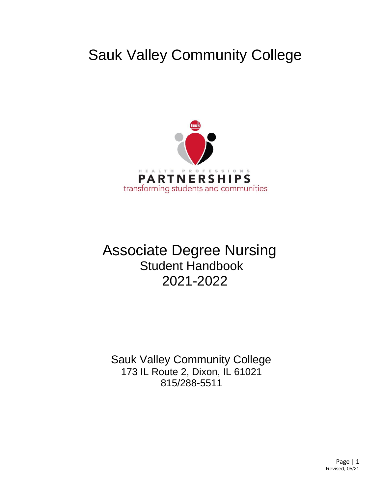# Sauk Valley Community College



## Associate Degree Nursing Student Handbook 2021-2022

Sauk Valley Community College 173 IL Route 2, Dixon, IL 61021 815/288-5511

> Page | 1 Revised, 05/21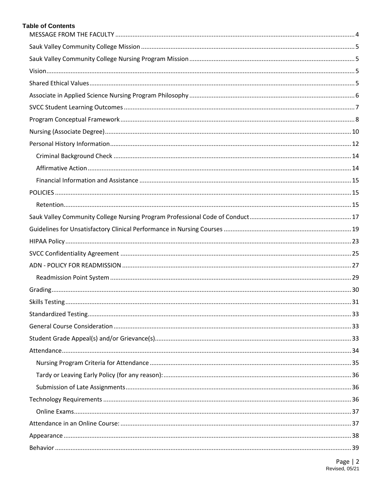#### **Table of Contents**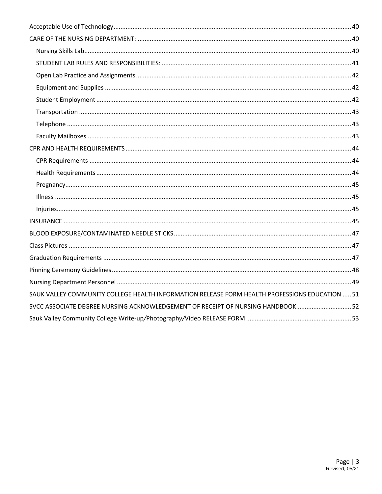| SAUK VALLEY COMMUNITY COLLEGE HEALTH INFORMATION RELEASE FORM HEALTH PROFESSIONS EDUCATION  51 |  |
|------------------------------------------------------------------------------------------------|--|
| SVCC ASSOCIATE DEGREE NURSING ACKNOWLEDGEMENT OF RECEIPT OF NURSING HANDBOOK52                 |  |
|                                                                                                |  |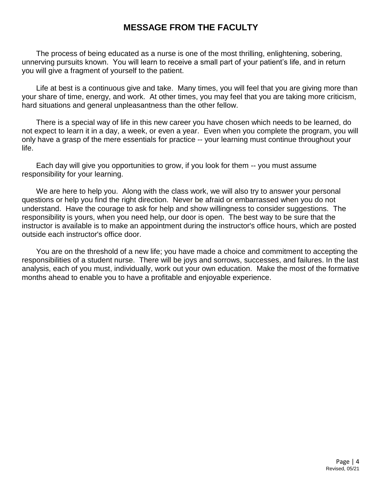### **MESSAGE FROM THE FACULTY**

<span id="page-3-0"></span>The process of being educated as a nurse is one of the most thrilling, enlightening, sobering, unnerving pursuits known. You will learn to receive a small part of your patient's life, and in return you will give a fragment of yourself to the patient.

Life at best is a continuous give and take. Many times, you will feel that you are giving more than your share of time, energy, and work. At other times, you may feel that you are taking more criticism, hard situations and general unpleasantness than the other fellow.

There is a special way of life in this new career you have chosen which needs to be learned, do not expect to learn it in a day, a week, or even a year. Even when you complete the program, you will only have a grasp of the mere essentials for practice -- your learning must continue throughout your life.

Each day will give you opportunities to grow, if you look for them -- you must assume responsibility for your learning.

We are here to help you. Along with the class work, we will also try to answer your personal questions or help you find the right direction. Never be afraid or embarrassed when you do not understand. Have the courage to ask for help and show willingness to consider suggestions. The responsibility is yours, when you need help, our door is open. The best way to be sure that the instructor is available is to make an appointment during the instructor's office hours, which are posted outside each instructor's office door.

You are on the threshold of a new life; you have made a choice and commitment to accepting the responsibilities of a student nurse. There will be joys and sorrows, successes, and failures. In the last analysis, each of you must, individually, work out your own education. Make the most of the formative months ahead to enable you to have a profitable and enjoyable experience.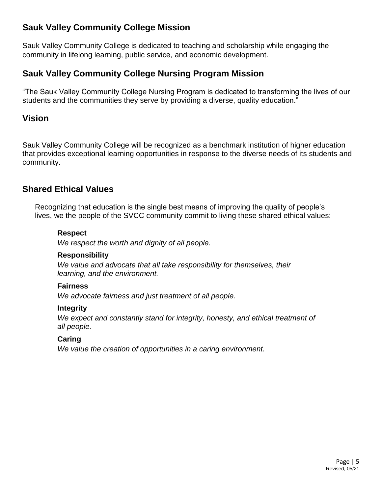### <span id="page-4-0"></span>**Sauk Valley Community College Mission**

Sauk Valley Community College is dedicated to teaching and scholarship while engaging the community in lifelong learning, public service, and economic development.

### <span id="page-4-1"></span>**Sauk Valley Community College Nursing Program Mission**

"The Sauk Valley Community College Nursing Program is dedicated to transforming the lives of our students and the communities they serve by providing a diverse, quality education."

#### <span id="page-4-2"></span>**Vision**

Sauk Valley Community College will be recognized as a benchmark institution of higher education that provides exceptional learning opportunities in response to the diverse needs of its students and community.

#### <span id="page-4-3"></span>**Shared Ethical Values**

Recognizing that education is the single best means of improving the quality of people's lives, we the people of the SVCC community commit to living these shared ethical values:

#### **Respect**

*We respect the worth and dignity of all people.*

#### **Responsibility**

*We value and advocate that all take responsibility for themselves, their learning, and the environment.*

#### **Fairness**

*We advocate fairness and just treatment of all people.*

#### **Integrity**

*We expect and constantly stand for integrity, honesty, and ethical treatment of all people.*

#### **Caring**

*We value the creation of opportunities in a caring environment.*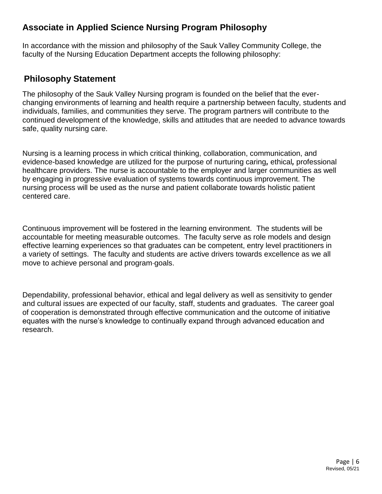### <span id="page-5-0"></span>**Associate in Applied Science Nursing Program Philosophy**

In accordance with the mission and philosophy of the Sauk Valley Community College, the faculty of the Nursing Education Department accepts the following philosophy:

### **Philosophy Statement**

The philosophy of the Sauk Valley Nursing program is founded on the belief that the everchanging environments of learning and health require a partnership between faculty, students and individuals, families, and communities they serve. The program partners will contribute to the continued development of the knowledge, skills and attitudes that are needed to advance towards safe, quality nursing care.

Nursing is a learning process in which critical thinking, collaboration, communication, and evidence-based knowledge are utilized for the purpose of nurturing caring*,* ethical*,* professional healthcare providers. The nurse is accountable to the employer and larger communities as well by engaging in progressive evaluation of systems towards continuous improvement. The nursing process will be used as the nurse and patient collaborate towards holistic patient centered care.

Continuous improvement will be fostered in the learning environment. The students will be accountable for meeting measurable outcomes. The faculty serve as role models and design effective learning experiences so that graduates can be competent, entry level practitioners in a variety of settings. The faculty and students are active drivers towards excellence as we all move to achieve personal and program-goals.

Dependability, professional behavior, ethical and legal delivery as well as sensitivity to gender and cultural issues are expected of our faculty, staff, students and graduates. The career goal of cooperation is demonstrated through effective communication and the outcome of initiative equates with the nurse's knowledge to continually expand through advanced education and research.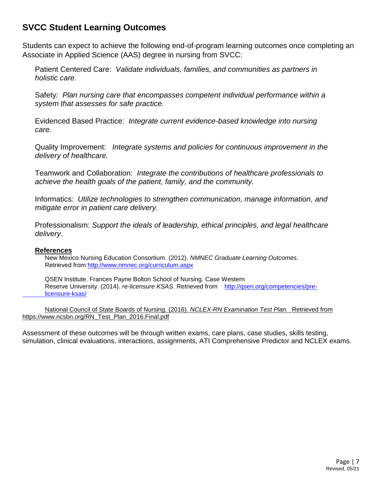### <span id="page-6-0"></span>**SVCC Student Learning Outcomes**

Students can expect to achieve the following end-of-program learning outcomes once completing an Associate in Applied Science (AAS) degree in nursing from SVCC:

Patient Centered Care: *Validate individuals, families, and communities as partners in holistic care.*

Safety*: Plan nursing care that encompasses competent individual performance within a system that assesses for safe practice.*

Evidenced Based Practice: *Integrate current evidence-based knowledge into nursing care.*

Quality Improvement: *Integrate systems and policies for continuous improvement in the delivery of healthcare.*

Teamwork and Collaboration: *Integrate the contributions of healthcare professionals to achieve the health goals of the patient, family, and the community.*

Informatics*: Utilize technologies to strengthen communication, manage information, and mitigate error in patient care delivery.*

Professionalism: *Support the ideals of leadership, ethical principles, and legal healthcare delivery*.

#### **References**

New Mexico Nursing Education Consortium. (2012). *NMNEC Graduate Learning Outcomes*. Retrieved from<http://www.nmnec.org/curriculum.aspx>

QSEN Institute. Frances Payne Bolton School of Nursing. Case Western Reserve University. (2014). *re-licensure KSAS*. Retrieved from [http://qsen.org/competencies/pre](http://qsen.org/competencies/pre-%09licensure-ksas/)[licensure-ksas/](http://qsen.org/competencies/pre-%09licensure-ksas/)

National Council of State Boards of Nursing. (2016). *NCLEX-RN Examination Test Plan.* Retrieved from https://www.ncsbn.org/RN\_Test\_Plan\_2016.Final.pdf

Assessment of these outcomes will be through written exams, care plans, case studies, skills testing, simulation, clinical evaluations, interactions, assignments, ATI Comprehensive Predictor and NCLEX exams.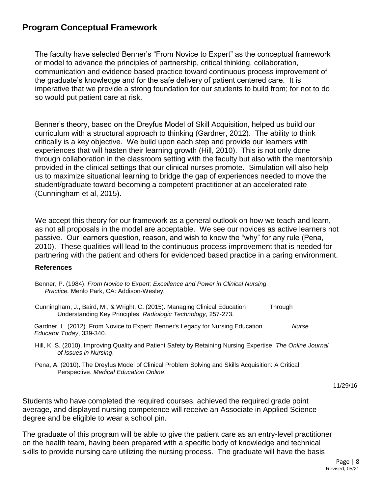#### <span id="page-7-0"></span>**Program Conceptual Framework**

The faculty have selected Benner's "From Novice to Expert" as the conceptual framework or model to advance the principles of partnership, critical thinking, collaboration, communication and evidence based practice toward continuous process improvement of the graduate's knowledge and for the safe delivery of patient centered care. It is imperative that we provide a strong foundation for our students to build from; for not to do so would put patient care at risk.

Benner's theory, based on the Dreyfus Model of Skill Acquisition, helped us build our curriculum with a structural approach to thinking (Gardner, 2012). The ability to think critically is a key objective. We build upon each step and provide our learners with experiences that will hasten their learning growth (Hill, 2010). This is not only done through collaboration in the classroom setting with the faculty but also with the mentorship provided in the clinical settings that our clinical nurses promote. Simulation will also help us to maximize situational learning to bridge the gap of experiences needed to move the student/graduate toward becoming a competent practitioner at an accelerated rate (Cunningham et al, 2015).

We accept this theory for our framework as a general outlook on how we teach and learn, as not all proposals in the model are acceptable. We see our novices as active learners not passive. Our learners question, reason, and wish to know the "why" for any rule (Pena, 2010). These qualities will lead to the continuous process improvement that is needed for partnering with the patient and others for evidenced based practice in a caring environment.

#### **References**

*Educator Today*, 339-340.

| Benner, P. (1984). From Novice to Expert; Excellence and Power in Clinical Nursing |
|------------------------------------------------------------------------------------|
| Practice. Menlo Park, CA: Addison-Wesley.                                          |

| Cunningham, J., Baird, M., & Wright, C. (2015). Managing Clinical Education       | Through |
|-----------------------------------------------------------------------------------|---------|
| Understanding Key Principles. Radiologic Technology, 257-273.                     |         |
| Gardner, L. (2012). From Novice to Expert: Benner's Legacy for Nursing Education. | Nurse   |

Hill, K. S. (2010). Improving Quality and Patient Safety by Retaining Nursing Expertise. *The Online Journal of Issues in Nursing*.

Pena, A. (2010). The Dreyfus Model of Clinical Problem Solving and Skills Acquisition: A Critical Perspective. *Medical Education Online*.

11/29/16

Students who have completed the required courses, achieved the required grade point average, and displayed nursing competence will receive an Associate in Applied Science degree and be eligible to wear a school pin.

The graduate of this program will be able to give the patient care as an entry-level practitioner on the health team, having been prepared with a specific body of knowledge and technical skills to provide nursing care utilizing the nursing process. The graduate will have the basis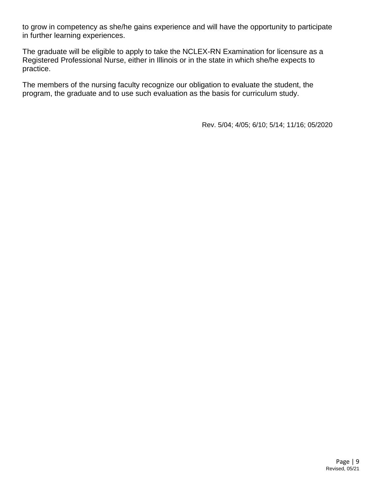to grow in competency as she/he gains experience and will have the opportunity to participate in further learning experiences.

The graduate will be eligible to apply to take the NCLEX-RN Examination for licensure as a Registered Professional Nurse, either in Illinois or in the state in which she/he expects to practice.

The members of the nursing faculty recognize our obligation to evaluate the student, the program, the graduate and to use such evaluation as the basis for curriculum study.

Rev. 5/04; 4/05; 6/10; 5/14; 11/16; 05/2020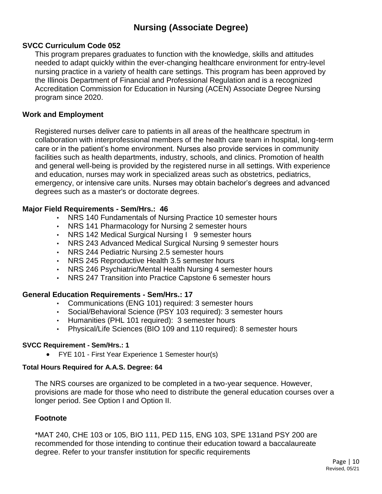### **Nursing (Associate Degree)**

#### <span id="page-9-0"></span>**SVCC Curriculum Code 052**

This program prepares graduates to function with the knowledge, skills and attitudes needed to adapt quickly within the ever-changing healthcare environment for entry-level nursing practice in a variety of health care settings. This program has been approved by the Illinois Department of Financial and Professional Regulation and is a recognized Accreditation Commission for Education in Nursing (ACEN) Associate Degree Nursing program since 2020.

#### **Work and Employment**

Registered nurses deliver care to patients in all areas of the healthcare spectrum in collaboration with interprofessional members of the health care team in hospital, long-term care or in the patient's home environment. Nurses also provide services in community facilities such as health departments, industry, schools, and clinics. Promotion of health and general well-being is provided by the registered nurse in all settings. With experience and education, nurses may work in specialized areas such as obstetrics, pediatrics, emergency, or intensive care units. Nurses may obtain bachelor's degrees and advanced degrees such as a master's or doctorate degrees.

#### **Major Field Requirements - Sem/Hrs.: 46**

- NRS 140 Fundamentals of Nursing Practice 10 semester hours
- NRS 141 Pharmacology for Nursing 2 semester hours
- NRS 142 Medical Surgical Nursing I 9 semester hours
- NRS 243 Advanced Medical Surgical Nursing 9 semester hours
- NRS 244 Pediatric Nursing 2.5 semester hours
- NRS 245 Reproductive Health 3.5 semester hours
- NRS 246 Psychiatric/Mental Health Nursing 4 semester hours
- NRS 247 Transition into Practice Capstone 6 semester hours

#### **General Education Requirements - Sem/Hrs.: 17**

- Communications (ENG 101) required: 3 semester hours
- Social/Behavioral Science (PSY 103 required): 3 semester hours
- Humanities (PHL 101 required): 3 semester hours
- Physical/Life Sciences (BIO 109 and 110 required): 8 semester hours

#### **SVCC Requirement - Sem/Hrs.: 1**

• FYE 101 - [First Year Experience](http://catalog.svcc.edu/preview_program.php?catoid=8&poid=945&hl=ADN&returnto=search) 1 Semester hour(s)

#### **Total Hours Required for A.A.S. Degree: 64**

The NRS courses are organized to be completed in a two-year sequence. However, provisions are made for those who need to distribute the general education courses over a longer period. See Option I and Option II.

#### **Footnote**

\*MAT 240, CHE 103 or 105, BIO 111, PED 115, ENG 103, SPE 131and PSY 200 are recommended for those intending to continue their education toward a baccalaureate degree. Refer to your transfer institution for specific requirements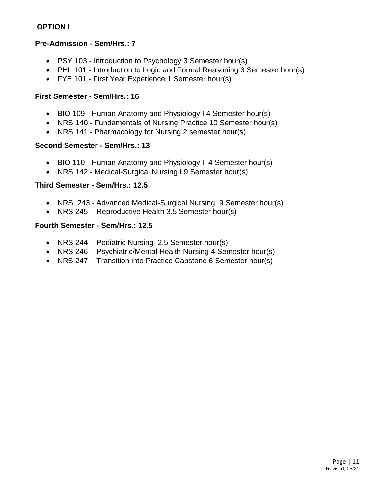#### **OPTION I**

#### **Pre-Admission - Sem/Hrs.: 7**

- PSY 103 [Introduction to Psychology](http://catalog.svcc.edu/preview_program.php?catoid=8&poid=945&hl=ADN&returnto=search) 3 Semester hour(s)
- PHL 101 Introduction to Logic and Formal Reasoning 3 Semester hour(s)
- FYE 101 [First Year Experience](http://catalog.svcc.edu/preview_program.php?catoid=8&poid=945&hl=ADN&returnto=search) 1 Semester hour(s)

#### **First Semester - Sem/Hrs.: 16**

- BIO 109 Human [Anatomy and Physiology I](http://catalog.svcc.edu/preview_program.php?catoid=8&poid=945&hl=ADN&returnto=search) 4 Semester hour(s)
- NRS 140 [Fundamentals](http://catalog.svcc.edu/preview_program.php?catoid=8&poid=945&hl=ADN&returnto=search) of Nursing Practice 10 Semester hour(s)
- NRS 141 Pharmacology for Nursing 2 semester hour(s)

#### **Second Semester - Sem/Hrs.: 13**

- BIO 110 [Human Anatomy and Physiology II](http://catalog.svcc.edu/preview_program.php?catoid=8&poid=945&hl=ADN&returnto=search) 4 Semester hour(s)
- NRS 142 [Medical-Surgical Nursing I](http://catalog.svcc.edu/preview_program.php?catoid=8&poid=945&hl=ADN&returnto=search) 9 Semester hour(s)

#### **Third Semester - Sem/Hrs.: 12.5**

- NRS 243 [Advanced Medical-Surgical Nursing](http://catalog.svcc.edu/preview_program.php?catoid=8&poid=945&hl=ADN&returnto=search) 9 Semester hour(s)
- [NRS 245 -](http://catalog.svcc.edu/preview_program.php?catoid=8&poid=945&hl=ADN&returnto=search) Reproductive Health 3.5 Semester hour(s)

#### **Fourth Semester - Sem/Hrs.: 12.5**

- NRS 244 [Pediatric Nursing](http://catalog.svcc.edu/preview_program.php?catoid=8&poid=945&hl=ADN&returnto=search) 2.5 Semester hour(s)
- NRS 246 [Psychiatric/Mental Health Nursing](http://catalog.svcc.edu/preview_program.php?catoid=8&poid=945&hl=ADN&returnto=search) 4 Semester hour(s)
- [NRS 247 -](http://catalog.svcc.edu/preview_program.php?catoid=8&poid=945&hl=ADN&returnto=search) Transition into Practice Capstone 6 Semester hour(s)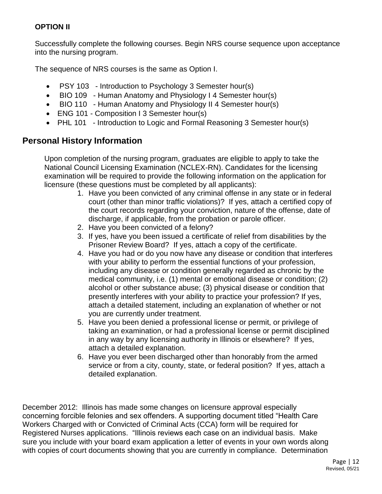#### **OPTION II**

Successfully complete the following courses. Begin NRS course sequence upon acceptance into the nursing program.

The sequence of NRS courses is the same as Option I.

- PSY 103 Introduction [to Psychology](http://catalog.svcc.edu/preview_program.php?catoid=8&poid=945&hl=ADN&returnto=search) 3 Semester hour(s)
- BIO 109 Human [Anatomy and Physiology I](http://catalog.svcc.edu/preview_program.php?catoid=8&poid=945&hl=ADN&returnto=search) 4 Semester hour(s)
- BIO 110 Human [Anatomy and Physiology II](http://catalog.svcc.edu/preview_program.php?catoid=8&poid=945&hl=ADN&returnto=search) 4 Semester hour(s)
- ENG 101 Composition I 3 Semester hour(s)
- PHL 101 Introduction to Logic and Formal Reasoning 3 Semester hour(s)

#### <span id="page-11-0"></span>**Personal History Information**

Upon completion of the nursing program, graduates are eligible to apply to take the National Council Licensing Examination (NCLEX-RN). Candidates for the licensing examination will be required to provide the following information on the application for licensure (these questions must be completed by all applicants):

- 1. Have you been convicted of any criminal offense in any state or in federal court (other than minor traffic violations)? If yes, attach a certified copy of the court records regarding your conviction, nature of the offense, date of discharge, if applicable, from the probation or parole officer.
- 2. Have you been convicted of a felony?
- 3. If yes, have you been issued a certificate of relief from disabilities by the Prisoner Review Board? If yes, attach a copy of the certificate.
- 4. Have you had or do you now have any disease or condition that interferes with your ability to perform the essential functions of your profession, including any disease or condition generally regarded as chronic by the medical community, i.e. (1) mental or emotional disease or condition; (2) alcohol or other substance abuse; (3) physical disease or condition that presently interferes with your ability to practice your profession? If yes, attach a detailed statement, including an explanation of whether or not you are currently under treatment.
- 5. Have you been denied a professional license or permit, or privilege of taking an examination, or had a professional license or permit disciplined in any way by any licensing authority in Illinois or elsewhere? If yes, attach a detailed explanation.
- 6. Have you ever been discharged other than honorably from the armed service or from a city, county, state, or federal position? If yes, attach a detailed explanation.

December 2012: Illinois has made some changes on licensure approval especially concerning forcible felonies and sex offenders. A supporting document titled "Health Care Workers Charged with or Convicted of Criminal Acts (CCA) form will be required for Registered Nurses applications. "Illinois reviews each case on an individual basis. Make sure you include with your board exam application a letter of events in your own words along with copies of court documents showing that you are currently in compliance. Determination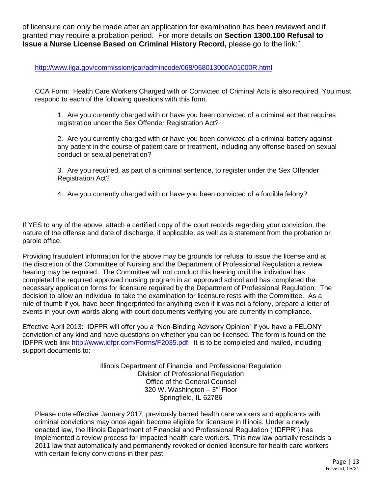of licensure can only be made after an application for examination has been reviewed and if granted may require a probation period. For more details on **Section 1300.100 Refusal to Issue a Nurse License Based on Criminal History Record,** please go to the link:"

<http://www.ilga.gov/commission/jcar/admincode/068/068013000A01000R.html>

CCA Form: Health Care Workers Charged with or Convicted of Criminal Acts is also required. You must respond to each of the following questions with this form.

1. Are you currently charged with or have you been convicted of a criminal act that requires registration under the Sex Offender Registration Act?

2. Are you currently charged with or have you been convicted of a criminal battery against any patient in the course of patient care or treatment, including any offense based on sexual conduct or sexual penetration?

3. Are you required, as part of a criminal sentence, to register under the Sex Offender Registration Act?

4. Are you currently charged with or have you been convicted of a forcible felony?

If YES to any of the above, attach a certified copy of the court records regarding your conviction, the nature of the offense and date of discharge, if applicable, as well as a statement from the probation or parole office.

Providing fraudulent information for the above may be grounds for refusal to issue the license and at the discretion of the Committee of Nursing and the Department of Professional Regulation a review hearing may be required. The Committee will not conduct this hearing until the individual has completed the required approved nursing program in an approved school and has completed the necessary application forms for licensure required by the Department of Professional Regulation. The decision to allow an individual to take the examination for licensure rests with the Committee. As a rule of thumb if you have been fingerprinted for anything even if it was not a felony, prepare a letter of events in your own words along with court documents verifying you are currently in compliance.

Effective April 2013: IDFPR will offer you a "Non-Binding Advisory Opinion" if you have a FELONY conviction of any kind and have questions on whether you can be licensed. The form is found on the IDFPR web link [http://www.idfpr.com/Forms/F2035.pdf.](http://www.idfpr.com/Forms/F2035.pdf) It is to be completed and mailed, including support documents to:

> Illinois Department of Financial and Professional Regulation Division of Professional Regulation Office of the General Counsel 320 W. Washington - 3<sup>rd</sup> Floor Springfield, IL 62786

Please note effective January 2017, previously barred health care workers and applicants with criminal convictions may once again become eligible for licensure in Illinois. Under a newly enacted law, the Illinois Department of Financial and Professional Regulation ("IDFPR") has implemented a review process for impacted health care workers. This new law partially rescinds a 2011 law that automatically and permanently revoked or denied licensure for health care workers with certain felony convictions in their past.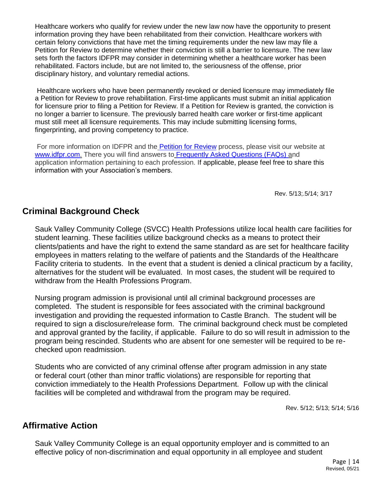Healthcare workers who qualify for review under the new law now have the opportunity to present information proving they have been rehabilitated from their conviction. Healthcare workers with certain felony convictions that have met the timing requirements under the new law may file a Petition for Review to determine whether their conviction is still a barrier to licensure. The new law sets forth the factors IDFPR may consider in determining whether a healthcare worker has been rehabilitated. Factors include, but are not limited to, the seriousness of the offense, prior disciplinary history, and voluntary remedial actions.

Healthcare workers who have been permanently revoked or denied licensure may immediately file a Petition for Review to prove rehabilitation. First-time applicants must submit an initial application for licensure prior to filing a Petition for Review. If a Petition for Review is granted, the conviction is no longer a barrier to licensure. The previously barred health care worker or first-time applicant must still meet all licensure requirements. This may include submitting licensing forms, fingerprinting, and proving competency to practice.

For more information on IDFPR and the [Petition for Review](http://www.idfpr.com/Renewals/apply/Forms/F2306.pdf) process, please visit our website a[t](http://www.idfpr.com/) [www.idfpr.com.](http://www.idfpr.com/) There you will find answers to [Frequently Asked Questions \(FAQs\) an](http://www.idfpr.com/About/FAQ.asp)d application information pertaining to each profession. If applicable, please feel free to share this information with your Association's members.

Rev. 5/13;.5/14; 3/17

#### <span id="page-13-0"></span>**Criminal Background Check**

Sauk Valley Community College (SVCC) Health Professions utilize local health care facilities for student learning. These facilities utilize background checks as a means to protect their clients/patients and have the right to extend the same standard as are set for healthcare facility employees in matters relating to the welfare of patients and the Standards of the Healthcare Facility criteria to students. In the event that a student is denied a clinical practicum by a facility, alternatives for the student will be evaluated. In most cases, the student will be required to withdraw from the Health Professions Program.

Nursing program admission is provisional until all criminal background processes are completed. The student is responsible for fees associated with the criminal background investigation and providing the requested information to Castle Branch. The student will be required to sign a disclosure/release form. The criminal background check must be completed and approval granted by the facility, if applicable. Failure to do so will result in admission to the program being rescinded. Students who are absent for one semester will be required to be rechecked upon readmission.

Students who are convicted of any criminal offense after program admission in any state or federal court (other than minor traffic violations) are responsible for reporting that conviction immediately to the Health Professions Department. Follow up with the clinical facilities will be completed and withdrawal from the program may be required.

Rev. 5/12; 5/13; 5/14; 5/16

#### <span id="page-13-1"></span>**Affirmative Action**

Sauk Valley Community College is an equal opportunity employer and is committed to an effective policy of non-discrimination and equal opportunity in all employee and student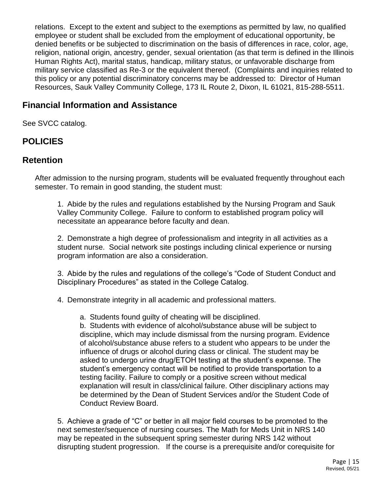relations. Except to the extent and subject to the exemptions as permitted by law, no qualified employee or student shall be excluded from the employment of educational opportunity, be denied benefits or be subjected to discrimination on the basis of differences in race, color, age, religion, national origin, ancestry, gender, sexual orientation (as that term is defined in the Illinois Human Rights Act), marital status, handicap, military status, or unfavorable discharge from military service classified as Re-3 or the equivalent thereof. (Complaints and inquiries related to this policy or any potential discriminatory concerns may be addressed to: Director of Human Resources, Sauk Valley Community College, 173 IL Route 2, Dixon, IL 61021, 815-288-5511.

### <span id="page-14-0"></span>**Financial Information and Assistance**

See SVCC catalog.

### <span id="page-14-1"></span>**POLICIES**

### <span id="page-14-2"></span>**Retention**

After admission to the nursing program, students will be evaluated frequently throughout each semester. To remain in good standing, the student must:

1. Abide by the rules and regulations established by the Nursing Program and Sauk Valley Community College. Failure to conform to established program policy will necessitate an appearance before faculty and dean.

2. Demonstrate a high degree of professionalism and integrity in all activities as a student nurse. Social network site postings including clinical experience or nursing program information are also a consideration.

3. Abide by the rules and regulations of the college's "Code of Student Conduct and Disciplinary Procedures" as stated in the College Catalog.

4. Demonstrate integrity in all academic and professional matters.

a. Students found guilty of cheating will be disciplined.

b. Students with evidence of alcohol/substance abuse will be subject to discipline, which may include dismissal from the nursing program. Evidence of alcohol/substance abuse refers to a student who appears to be under the influence of drugs or alcohol during class or clinical. The student may be asked to undergo urine drug/ETOH testing at the student's expense. The student's emergency contact will be notified to provide transportation to a testing facility. Failure to comply or a positive screen without medical explanation will result in class/clinical failure. Other disciplinary actions may be determined by the Dean of Student Services and/or the Student Code of Conduct Review Board.

5. Achieve a grade of "C" or better in all major field courses to be promoted to the next semester/sequence of nursing courses. The Math for Meds Unit in NRS 140 may be repeated in the subsequent spring semester during NRS 142 without disrupting student progression. If the course is a prerequisite and/or corequisite for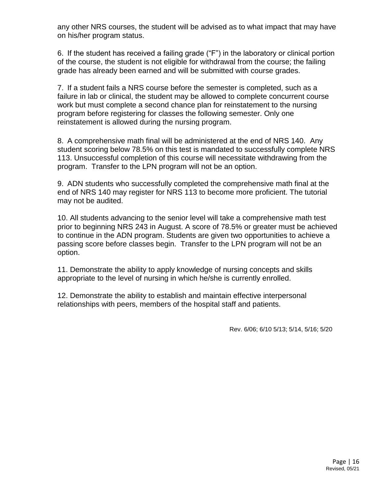any other NRS courses, the student will be advised as to what impact that may have on his/her program status.

6. If the student has received a failing grade ("F") in the laboratory or clinical portion of the course, the student is not eligible for withdrawal from the course; the failing grade has already been earned and will be submitted with course grades.

7. If a student fails a NRS course before the semester is completed, such as a failure in lab or clinical, the student may be allowed to complete concurrent course work but must complete a second chance plan for reinstatement to the nursing program before registering for classes the following semester. Only one reinstatement is allowed during the nursing program.

8. A comprehensive math final will be administered at the end of NRS 140. Any student scoring below 78.5% on this test is mandated to successfully complete NRS 113. Unsuccessful completion of this course will necessitate withdrawing from the program. Transfer to the LPN program will not be an option.

9. ADN students who successfully completed the comprehensive math final at the end of NRS 140 may register for NRS 113 to become more proficient. The tutorial may not be audited.

10. All students advancing to the senior level will take a comprehensive math test prior to beginning NRS 243 in August. A score of 78.5% or greater must be achieved to continue in the ADN program. Students are given two opportunities to achieve a passing score before classes begin. Transfer to the LPN program will not be an option.

11. Demonstrate the ability to apply knowledge of nursing concepts and skills appropriate to the level of nursing in which he/she is currently enrolled.

12. Demonstrate the ability to establish and maintain effective interpersonal relationships with peers, members of the hospital staff and patients.

Rev. 6/06; 6/10 5/13; 5/14, 5/16; 5/20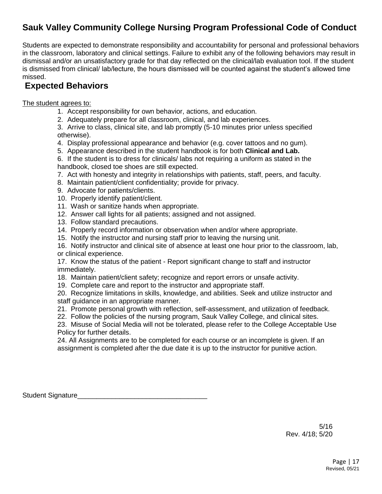### <span id="page-16-0"></span>**Sauk Valley Community College Nursing Program Professional Code of Conduct**

Students are expected to demonstrate responsibility and accountability for personal and professional behaviors in the classroom, laboratory and clinical settings. Failure to exhibit any of the following behaviors may result in dismissal and/or an unsatisfactory grade for that day reflected on the clinical/lab evaluation tool. If the student is dismissed from clinical/ lab/lecture, the hours dismissed will be counted against the student's allowed time missed.

### **Expected Behaviors**

#### The student agrees to:

- 1. Accept responsibility for own behavior, actions, and education.
- 2. Adequately prepare for all classroom, clinical, and lab experiences.

3. Arrive to class, clinical site, and lab promptly (5-10 minutes prior unless specified otherwise).

- 4. Display professional appearance and behavior (e.g. cover tattoos and no gum).
- 5. Appearance described in the student handbook is for both **Clinical and Lab.**

6. If the student is to dress for clinicals/ labs not requiring a uniform as stated in the handbook, closed toe shoes are still expected.

- 7. Act with honesty and integrity in relationships with patients, staff, peers, and faculty.
- 8. Maintain patient/client confidentiality; provide for privacy.
- 9. Advocate for patients/clients.
- 10. Properly identify patient/client.
- 11. Wash or sanitize hands when appropriate.
- 12. Answer call lights for all patients; assigned and not assigned.
- 13. Follow standard precautions.
- 14. Properly record information or observation when and/or where appropriate.
- 15. Notify the instructor and nursing staff prior to leaving the nursing unit.

16. Notify instructor and clinical site of absence at least one hour prior to the classroom, lab, or clinical experience.

17. Know the status of the patient - Report significant change to staff and instructor immediately.

- 18. Maintain patient/client safety; recognize and report errors or unsafe activity.
- 19. Complete care and report to the instructor and appropriate staff.

20. Recognize limitations in skills, knowledge, and abilities. Seek and utilize instructor and staff guidance in an appropriate manner.

- 21. Promote personal growth with reflection, self-assessment, and utilization of feedback.
- 22. Follow the policies of the nursing program, Sauk Valley College, and clinical sites.

23. Misuse of Social Media will not be tolerated, please refer to the College Acceptable Use Policy for further details.

24. All Assignments are to be completed for each course or an incomplete is given. If an assignment is completed after the due date it is up to the instructor for punitive action.

Student Signature

5/16 Rev. 4/18; 5/20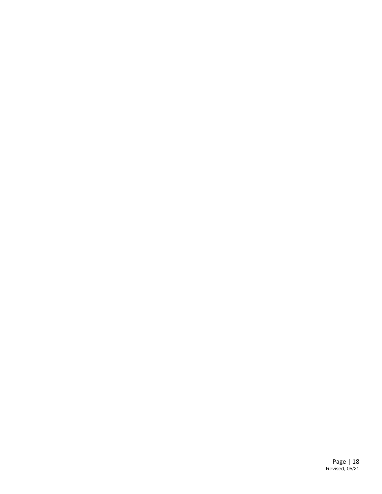Page | 18 Revised, 05/21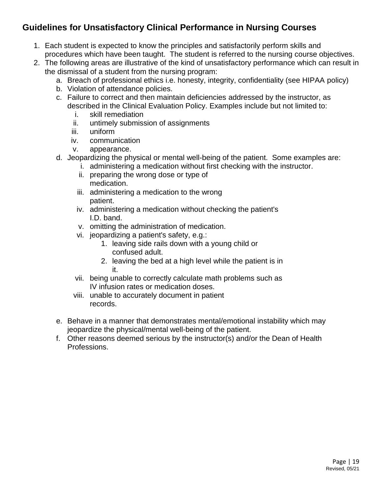### <span id="page-18-0"></span>**Guidelines for Unsatisfactory Clinical Performance in Nursing Courses**

- 1. Each student is expected to know the principles and satisfactorily perform skills and procedures which have been taught. The student is referred to the nursing course objectives.
- 2. The following areas are illustrative of the kind of unsatisfactory performance which can result in the dismissal of a student from the nursing program:
	- a. Breach of professional ethics i.e. honesty, integrity, confidentiality (see HIPAA policy)
		- b. Violation of attendance policies.
		- c. Failure to correct and then maintain deficiencies addressed by the instructor, as described in the Clinical Evaluation Policy. Examples include but not limited to:
			- i. skill remediation
			- ii. untimely submission of assignments
			- iii. uniform
			- iv. communication
			- v. appearance.
		- d. Jeopardizing the physical or mental well-being of the patient. Some examples are:
			- i. administering a medication without first checking with the instructor.
			- ii. preparing the wrong dose or type of medication.
			- iii. administering a medication to the wrong patient.
			- iv. administering a medication without checking the patient's I.D. band.
			- v. omitting the administration of medication.
			- vi. jeopardizing a patient's safety, e.g.:
				- 1. leaving side rails down with a young child or confused adult.
				- 2. leaving the bed at a high level while the patient is in it.
			- vii. being unable to correctly calculate math problems such as IV infusion rates or medication doses.
			- viii. unable to accurately document in patient records.
		- e. Behave in a manner that demonstrates mental/emotional instability which may jeopardize the physical/mental well-being of the patient.
		- f. Other reasons deemed serious by the instructor(s) and/or the Dean of Health Professions.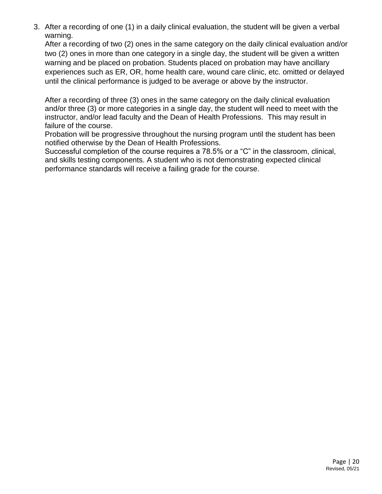3. After a recording of one (1) in a daily clinical evaluation, the student will be given a verbal warning.

After a recording of two (2) ones in the same category on the daily clinical evaluation and/or two (2) ones in more than one category in a single day, the student will be given a written warning and be placed on probation. Students placed on probation may have ancillary experiences such as ER, OR, home health care, wound care clinic, etc. omitted or delayed until the clinical performance is judged to be average or above by the instructor.

After a recording of three (3) ones in the same category on the daily clinical evaluation and/or three (3) or more categories in a single day, the student will need to meet with the instructor, and/or lead faculty and the Dean of Health Professions. This may result in failure of the course.

Probation will be progressive throughout the nursing program until the student has been notified otherwise by the Dean of Health Professions.

Successful completion of the course requires a 78.5% or a "C" in the classroom, clinical, and skills testing components. A student who is not demonstrating expected clinical performance standards will receive a failing grade for the course.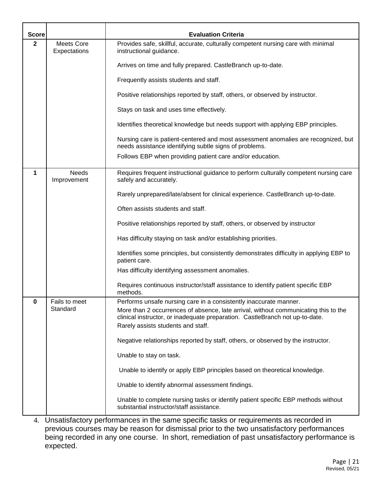| <b>Score</b>                                                                   |                      | <b>Evaluation Criteria</b>                                                                                                                                          |
|--------------------------------------------------------------------------------|----------------------|---------------------------------------------------------------------------------------------------------------------------------------------------------------------|
| <b>Meets Core</b><br>$\overline{2}$<br>Expectations<br>instructional guidance. |                      | Provides safe, skillful, accurate, culturally competent nursing care with minimal                                                                                   |
|                                                                                |                      | Arrives on time and fully prepared. CastleBranch up-to-date.                                                                                                        |
|                                                                                |                      | Frequently assists students and staff.                                                                                                                              |
|                                                                                |                      | Positive relationships reported by staff, others, or observed by instructor.                                                                                        |
|                                                                                |                      | Stays on task and uses time effectively.                                                                                                                            |
|                                                                                |                      | Identifies theoretical knowledge but needs support with applying EBP principles.                                                                                    |
|                                                                                |                      | Nursing care is patient-centered and most assessment anomalies are recognized, but<br>needs assistance identifying subtle signs of problems.                        |
|                                                                                |                      | Follows EBP when providing patient care and/or education.                                                                                                           |
| 1                                                                              | Needs<br>Improvement | Requires frequent instructional guidance to perform culturally competent nursing care<br>safely and accurately.                                                     |
|                                                                                |                      | Rarely unprepared/late/absent for clinical experience. CastleBranch up-to-date.                                                                                     |
|                                                                                |                      | Often assists students and staff.                                                                                                                                   |
|                                                                                |                      | Positive relationships reported by staff, others, or observed by instructor                                                                                         |
|                                                                                |                      | Has difficulty staying on task and/or establishing priorities.                                                                                                      |
|                                                                                |                      | Identifies some principles, but consistently demonstrates difficulty in applying EBP to<br>patient care.                                                            |
|                                                                                |                      | Has difficulty identifying assessment anomalies.                                                                                                                    |
|                                                                                |                      | Requires continuous instructor/staff assistance to identify patient specific EBP<br>methods.                                                                        |
| 0                                                                              | Fails to meet        | Performs unsafe nursing care in a consistently inaccurate manner.                                                                                                   |
|                                                                                | Standard             | More than 2 occurrences of absence, late arrival, without communicating this to the<br>clinical instructor, or inadequate preparation. CastleBranch not up-to-date. |
|                                                                                |                      | Rarely assists students and staff.                                                                                                                                  |
|                                                                                |                      | Negative relationships reported by staff, others, or observed by the instructor.                                                                                    |
|                                                                                |                      | Unable to stay on task.                                                                                                                                             |
|                                                                                |                      | Unable to identify or apply EBP principles based on theoretical knowledge.                                                                                          |
|                                                                                |                      | Unable to identify abnormal assessment findings.                                                                                                                    |
|                                                                                |                      | Unable to complete nursing tasks or identify patient specific EBP methods without<br>substantial instructor/staff assistance.                                       |

4. Unsatisfactory performances in the same specific tasks or requirements as recorded in previous courses may be reason for dismissal prior to the two unsatisfactory performances being recorded in any one course. In short, remediation of past unsatisfactory performance is expected.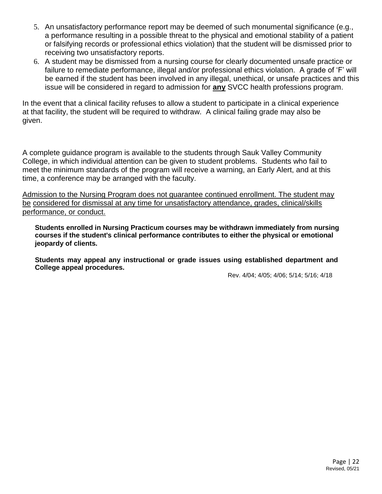- 5. An unsatisfactory performance report may be deemed of such monumental significance (e.g., a performance resulting in a possible threat to the physical and emotional stability of a patient or falsifying records or professional ethics violation) that the student will be dismissed prior to receiving two unsatisfactory reports.
- 6. A student may be dismissed from a nursing course for clearly documented unsafe practice or failure to remediate performance, illegal and/or professional ethics violation. A grade of 'F' will be earned if the student has been involved in any illegal, unethical, or unsafe practices and this issue will be considered in regard to admission for **any** SVCC health professions program.

In the event that a clinical facility refuses to allow a student to participate in a clinical experience at that facility, the student will be required to withdraw. A clinical failing grade may also be given.

A complete guidance program is available to the students through Sauk Valley Community College, in which individual attention can be given to student problems. Students who fail to meet the minimum standards of the program will receive a warning, an Early Alert, and at this time, a conference may be arranged with the faculty.

Admission to the Nursing Program does not guarantee continued enrollment. The student may be considered for dismissal at any time for unsatisfactory attendance, grades, clinical/skills performance, or conduct.

**Students enrolled in Nursing Practicum courses may be withdrawn immediately from nursing courses if the student's clinical performance contributes to either the physical or emotional jeopardy of clients.**

**Students may appeal any instructional or grade issues using established department and College appeal procedures.**

Rev. 4/04; 4/05; 4/06; 5/14; 5/16; 4/18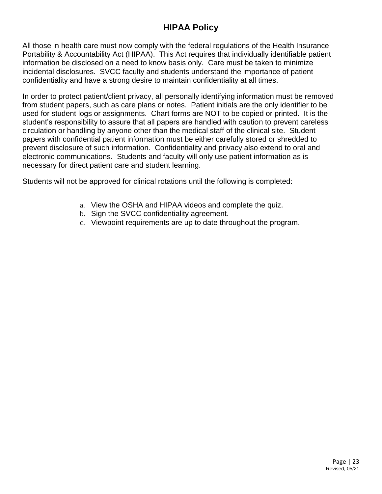### **HIPAA Policy**

<span id="page-22-0"></span>All those in health care must now comply with the federal regulations of the Health Insurance Portability & Accountability Act (HIPAA). This Act requires that individually identifiable patient information be disclosed on a need to know basis only. Care must be taken to minimize incidental disclosures. SVCC faculty and students understand the importance of patient confidentiality and have a strong desire to maintain confidentiality at all times.

In order to protect patient/client privacy, all personally identifying information must be removed from student papers, such as care plans or notes. Patient initials are the only identifier to be used for student logs or assignments. Chart forms are NOT to be copied or printed. It is the student's responsibility to assure that all papers are handled with caution to prevent careless circulation or handling by anyone other than the medical staff of the clinical site. Student papers with confidential patient information must be either carefully stored or shredded to prevent disclosure of such information. Confidentiality and privacy also extend to oral and electronic communications. Students and faculty will only use patient information as is necessary for direct patient care and student learning.

Students will not be approved for clinical rotations until the following is completed:

- a. View the OSHA and HIPAA videos and complete the quiz.
- b. Sign the SVCC confidentiality agreement.
- c. Viewpoint requirements are up to date throughout the program.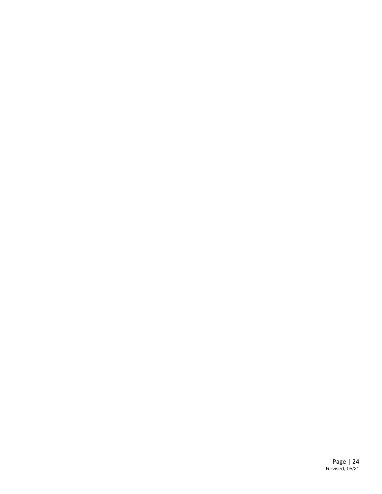Page | 24 Revised, 05/21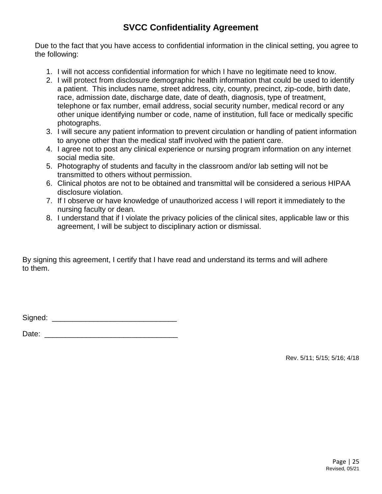### **SVCC Confidentiality Agreement**

<span id="page-24-0"></span>Due to the fact that you have access to confidential information in the clinical setting, you agree to the following:

- 1. I will not access confidential information for which I have no legitimate need to know.
- 2. I will protect from disclosure demographic health information that could be used to identify a patient. This includes name, street address, city, county, precinct, zip-code, birth date, race, admission date, discharge date, date of death, diagnosis, type of treatment, telephone or fax number, email address, social security number, medical record or any other unique identifying number or code, name of institution, full face or medically specific photographs.
- 3. I will secure any patient information to prevent circulation or handling of patient information to anyone other than the medical staff involved with the patient care.
- 4. I agree not to post any clinical experience or nursing program information on any internet social media site.
- 5. Photography of students and faculty in the classroom and/or lab setting will not be transmitted to others without permission.
- 6. Clinical photos are not to be obtained and transmittal will be considered a serious HIPAA disclosure violation.
- 7. If I observe or have knowledge of unauthorized access I will report it immediately to the nursing faculty or dean.
- 8. I understand that if I violate the privacy policies of the clinical sites, applicable law or this agreement, I will be subject to disciplinary action or dismissal.

By signing this agreement, I certify that I have read and understand its terms and will adhere to them.

Signed: \_\_\_\_\_\_\_\_\_\_\_\_\_\_\_\_\_\_\_\_\_\_\_\_\_\_\_\_\_\_

Date: \_\_\_\_\_\_\_\_\_\_\_\_\_\_\_\_\_\_\_\_\_\_\_\_\_\_\_\_\_\_\_\_

Rev. 5/11; 5/15; 5/16; 4/18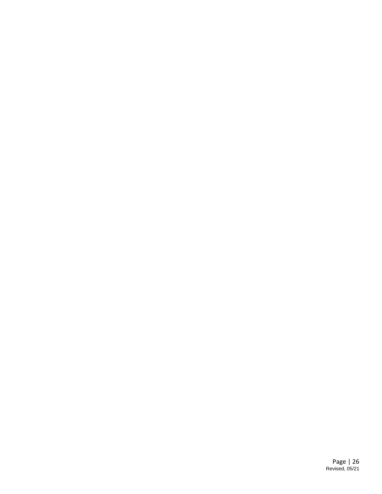Page | 26 Revised, 05/21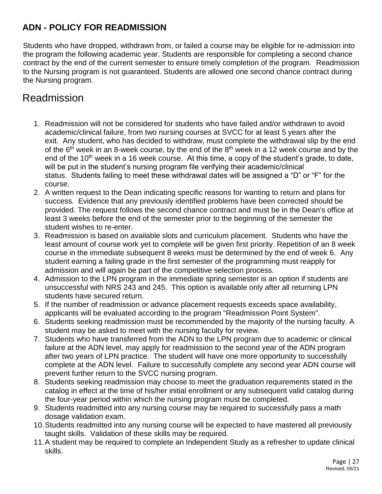### <span id="page-26-0"></span>**ADN - POLICY FOR READMISSION**

Students who have dropped, withdrawn from, or failed a course may be eligible for re-admission into the program the following academic year. Students are responsible for completing a second chance contract by the end of the current semester to ensure timely completion of the program. Readmission to the Nursing program is not guaranteed. Students are allowed one second chance contract during the Nursing program.

### Readmission

- 1. Readmission will not be considered for students who have failed and/or withdrawn to avoid academic/clinical failure, from two nursing courses at SVCC for at least 5 years after the exit. Any student, who has decided to withdraw, must complete the withdrawal slip by the end of the 6<sup>th</sup> week in an 8-week course, by the end of the 8<sup>th</sup> week in a 12 week course and by the end of the 10<sup>th</sup> week in a 16 week course. At this time, a copy of the student's grade, to date, will be put in the student's nursing program file verifying their academic/clinical status. Students failing to meet these withdrawal dates will be assigned a "D" or "F" for the course.
- 2. A written request to the Dean indicating specific reasons for wanting to return and plans for success. Evidence that any previously identified problems have been corrected should be provided. The request follows the second chance contract and must be in the Dean's office at least 3 weeks before the end of the semester prior to the beginning of the semester the student wishes to re-enter.
- 3. Readmission is based on available slots and curriculum placement. Students who have the least amount of course work yet to complete will be given first priority. Repetition of an 8 week course in the immediate subsequent 8 weeks must be determined by the end of week 6. Any student earning a failing grade in the first semester of the programming must reapply for admission and will again be part of the competitive selection process.
- 4. Admission to the LPN program in the immediate spring semester is an option if students are unsuccessful with NRS 243 and 245. This option is available only after all returning LPN students have secured return.
- 5. If the number of readmission or advance placement requests exceeds space availability, applicants will be evaluated according to the program "Readmission Point System".
- 6. Students seeking readmission must be recommended by the majority of the nursing faculty. A student may be asked to meet with the nursing faculty for review.
- 7. Students who have transferred from the ADN to the LPN program due to academic or clinical failure at the ADN level, may apply for readmission to the second year of the ADN program after two years of LPN practice. The student will have one more opportunity to successfully complete at the ADN level. Failure to successfully complete any second year ADN course will prevent further return to the SVCC nursing program.
- 8. Students seeking readmission may choose to meet the graduation requirements stated in the catalog in effect at the time of his/her initial enrollment or any subsequent valid catalog during the four-year period within which the nursing program must be completed.
- 9. Students readmitted into any nursing course may be required to successfully pass a math dosage validation exam.
- 10.Students readmitted into any nursing course will be expected to have mastered all previously taught skills. Validation of these skills may be required.
- 11.A student may be required to complete an Independent Study as a refresher to update clinical skills.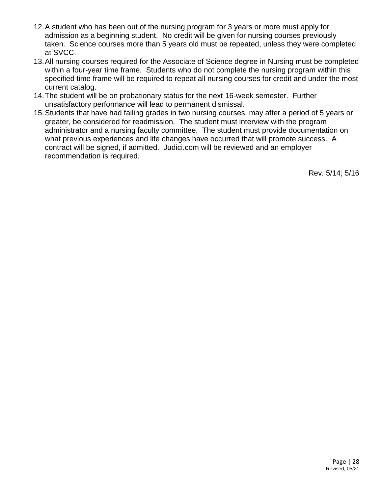- 12.A student who has been out of the nursing program for 3 years or more must apply for admission as a beginning student. No credit will be given for nursing courses previously taken. Science courses more than 5 years old must be repeated, unless they were completed at SVCC.
- 13.All nursing courses required for the Associate of Science degree in Nursing must be completed within a four-year time frame. Students who do not complete the nursing program within this specified time frame will be required to repeat all nursing courses for credit and under the most current catalog.
- 14.The student will be on probationary status for the next 16-week semester. Further unsatisfactory performance will lead to permanent dismissal.
- 15.Students that have had failing grades in two nursing courses, may after a period of 5 years or greater, be considered for readmission. The student must interview with the program administrator and a nursing faculty committee. The student must provide documentation on what previous experiences and life changes have occurred that will promote success. A contract will be signed, if admitted. Judici.com will be reviewed and an employer recommendation is required.

Rev. 5/14; 5/16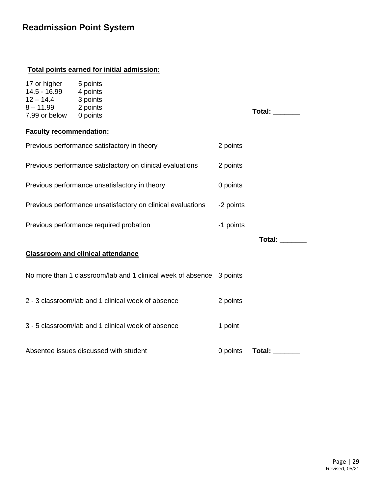### <span id="page-28-0"></span>**Readmission Point System**

#### **Total points earned for initial admission:**

| 17 or higher<br>14.5 - 16.99<br>$12 - 14.4$<br>$8 - 11.99$ 2 points<br>7.99 or below | 5 points<br>4 points<br>3 points<br>0 points                |           | Total: <b>Example</b> |
|--------------------------------------------------------------------------------------|-------------------------------------------------------------|-----------|-----------------------|
| <b>Faculty recommendation:</b>                                                       |                                                             |           |                       |
|                                                                                      | Previous performance satisfactory in theory                 | 2 points  |                       |
| Previous performance satisfactory on clinical evaluations                            |                                                             |           |                       |
|                                                                                      | Previous performance unsatisfactory in theory               | 0 points  |                       |
|                                                                                      | Previous performance unsatisfactory on clinical evaluations | -2 points |                       |
|                                                                                      | Previous performance required probation                     | -1 points |                       |
|                                                                                      |                                                             |           | Total: _______        |
|                                                                                      | <b>Classroom and clinical attendance</b>                    |           |                       |
|                                                                                      | No more than 1 classroom/lab and 1 clinical week of absence | 3 points  |                       |
|                                                                                      | 2 - 3 classroom/lab and 1 clinical week of absence          | 2 points  |                       |
|                                                                                      | 3 - 5 classroom/lab and 1 clinical week of absence          | 1 point   |                       |
|                                                                                      | Absentee issues discussed with student                      | 0 points  | Total:                |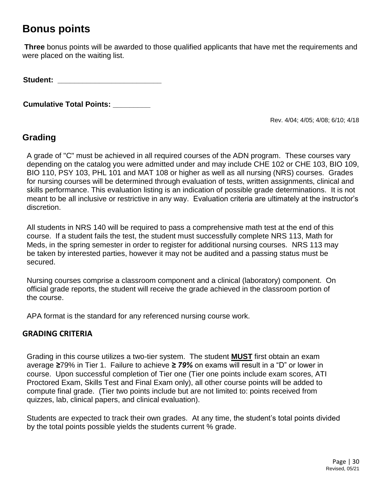### **Bonus points**

**Three** bonus points will be awarded to those qualified applicants that have met the requirements and were placed on the waiting list.

**Student: \_\_\_\_\_\_\_\_\_\_\_\_\_\_\_\_\_\_\_\_\_\_\_\_\_**

**Cumulative Total Points: \_\_\_\_\_\_\_\_\_** 

Rev. 4/04; 4/05; 4/08; 6/10; 4/18

### <span id="page-29-0"></span>**Grading**

A grade of "C" must be achieved in all required courses of the ADN program. These courses vary depending on the catalog you were admitted under and may include CHE 102 or CHE 103, BIO 109, BIO 110, PSY 103, PHL 101 and MAT 108 or higher as well as all nursing (NRS) courses. Grades for nursing courses will be determined through evaluation of tests, written assignments, clinical and skills performance. This evaluation listing is an indication of possible grade determinations. It is not meant to be all inclusive or restrictive in any way. Evaluation criteria are ultimately at the instructor's discretion.

All students in NRS 140 will be required to pass a comprehensive math test at the end of this course. If a student fails the test, the student must successfully complete NRS 113, Math for Meds, in the spring semester in order to register for additional nursing courses. NRS 113 may be taken by interested parties, however it may not be audited and a passing status must be secured.

Nursing courses comprise a classroom component and a clinical (laboratory) component. On official grade reports, the student will receive the grade achieved in the classroom portion of the course.

APA format is the standard for any referenced nursing course work.

#### **GRADING CRITERIA**

Grading in this course utilizes a two-tier system. The student **MUST** first obtain an exam average *≥*79% in Tier 1. Failure to achieve *≥ 79%* on exams will result in a "D" or lower in course. Upon successful completion of Tier one (Tier one points include exam scores, ATI Proctored Exam, Skills Test and Final Exam only), all other course points will be added to compute final grade. (Tier two points include but are not limited to: points received from quizzes, lab, clinical papers, and clinical evaluation).

Students are expected to track their own grades. At any time, the student's total points divided by the total points possible yields the students current % grade.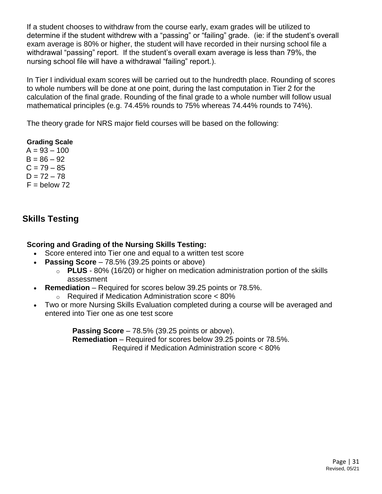If a student chooses to withdraw from the course early, exam grades will be utilized to determine if the student withdrew with a "passing" or "failing" grade. (ie: if the student's overall exam average is 80% or higher, the student will have recorded in their nursing school file a withdrawal "passing" report. If the student's overall exam average is less than 79%, the nursing school file will have a withdrawal "failing" report.).

In Tier I individual exam scores will be carried out to the hundredth place. Rounding of scores to whole numbers will be done at one point, during the last computation in Tier 2 for the calculation of the final grade. Rounding of the final grade to a whole number will follow usual mathematical principles (e.g. 74.45% rounds to 75% whereas 74.44% rounds to 74%).

The theory grade for NRS major field courses will be based on the following:

#### **Grading Scale**

 $A = 93 - 100$  $B = 86 - 92$  $C = 79 - 85$  $D = 72 - 78$  $F =$  below 72

### <span id="page-30-0"></span>**Skills Testing**

#### **Scoring and Grading of the Nursing Skills Testing:**

- Score entered into Tier one and equal to a written test score
- **Passing Score** 78.5% (39.25 points or above)
	- o **PLUS** 80% (16/20) or higher on medication administration portion of the skills assessment
- **Remediation**  Required for scores below 39.25 points or 78.5%.
	- o Required if Medication Administration score < 80%
- Two or more Nursing Skills Evaluation completed during a course will be averaged and entered into Tier one as one test score

**Passing Score** – 78.5% (39.25 points or above). **Remediation** – Required for scores below 39.25 points or 78.5%. Required if Medication Administration score < 80%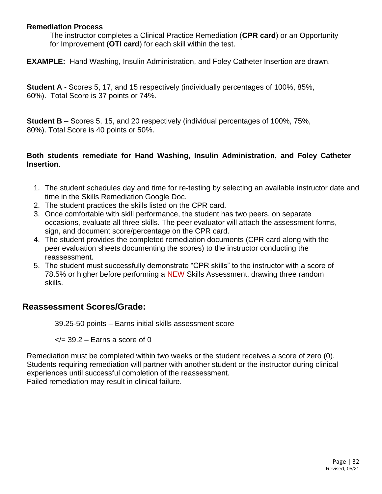#### **Remediation Process**

The instructor completes a Clinical Practice Remediation (**CPR card**) or an Opportunity for Improvement (**OTI card**) for each skill within the test.

**EXAMPLE:** Hand Washing, Insulin Administration, and Foley Catheter Insertion are drawn.

**Student A** - Scores 5, 17, and 15 respectively (individually percentages of 100%, 85%, 60%). Total Score is 37 points or 74%.

**Student B** – Scores 5, 15, and 20 respectively (individual percentages of 100%, 75%, 80%). Total Score is 40 points or 50%.

#### **Both students remediate for Hand Washing, Insulin Administration, and Foley Catheter Insertion**.

- 1. The student schedules day and time for re-testing by selecting an available instructor date and time in the Skills Remediation Google Doc.
- 2. The student practices the skills listed on the CPR card.
- 3. Once comfortable with skill performance, the student has two peers, on separate occasions, evaluate all three skills. The peer evaluator will attach the assessment forms, sign, and document score/percentage on the CPR card.
- 4. The student provides the completed remediation documents (CPR card along with the peer evaluation sheets documenting the scores) to the instructor conducting the reassessment.
- 5. The student must successfully demonstrate "CPR skills" to the instructor with a score of 78.5% or higher before performing a NEW Skills Assessment, drawing three random skills.

### **Reassessment Scores/Grade:**

39.25-50 points – Earns initial skills assessment score

 $\langle = 39.2 -$  Earns a score of 0

Remediation must be completed within two weeks or the student receives a score of zero (0). Students requiring remediation will partner with another student or the instructor during clinical experiences until successful completion of the reassessment. Failed remediation may result in clinical failure.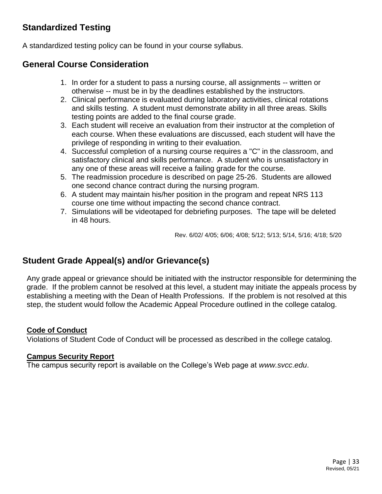### <span id="page-32-0"></span>**Standardized Testing**

A standardized testing policy can be found in your course syllabus.

### <span id="page-32-1"></span>**General Course Consideration**

- 1. In order for a student to pass a nursing course, all assignments -- written or otherwise -- must be in by the deadlines established by the instructors.
- 2. Clinical performance is evaluated during laboratory activities, clinical rotations and skills testing. A student must demonstrate ability in all three areas. Skills testing points are added to the final course grade.
- 3. Each student will receive an evaluation from their instructor at the completion of each course. When these evaluations are discussed, each student will have the privilege of responding in writing to their evaluation.
- 4. Successful completion of a nursing course requires a "C" in the classroom, and satisfactory clinical and skills performance. A student who is unsatisfactory in any one of these areas will receive a failing grade for the course.
- 5. The readmission procedure is described on page 25-26. Students are allowed one second chance contract during the nursing program.
- 6. A student may maintain his/her position in the program and repeat NRS 113 course one time without impacting the second chance contract.
- 7. Simulations will be videotaped for debriefing purposes. The tape will be deleted in 48 hours.

Rev. 6/02/ 4/05; 6/06; 4/08; 5/12; 5/13; 5/14, 5/16; 4/18; 5/20

### <span id="page-32-2"></span>**Student Grade Appeal(s) and/or Grievance(s)**

Any grade appeal or grievance should be initiated with the instructor responsible for determining the grade. If the problem cannot be resolved at this level, a student may initiate the appeals process by establishing a meeting with the Dean of Health Professions. If the problem is not resolved at this step, the student would follow the Academic Appeal Procedure outlined in the college catalog.

#### **Code of Conduct**

Violations of Student Code of Conduct will be processed as described in the college catalog.

#### **Campus Security Report**

The campus security report is available on the College's Web page at *www.svcc*.*edu*.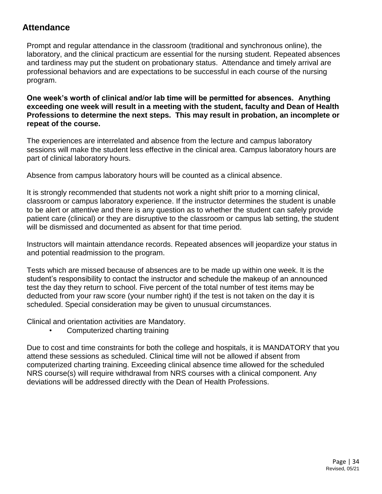### <span id="page-33-0"></span>**Attendance**

Prompt and regular attendance in the classroom (traditional and synchronous online), the laboratory, and the clinical practicum are essential for the nursing student. Repeated absences and tardiness may put the student on probationary status. Attendance and timely arrival are professional behaviors and are expectations to be successful in each course of the nursing program.

**One week's worth of clinical and/or lab time will be permitted for absences. Anything exceeding one week will result in a meeting with the student, faculty and Dean of Health Professions to determine the next steps. This may result in probation, an incomplete or repeat of the course.**

The experiences are interrelated and absence from the lecture and campus laboratory sessions will make the student less effective in the clinical area. Campus laboratory hours are part of clinical laboratory hours.

Absence from campus laboratory hours will be counted as a clinical absence.

It is strongly recommended that students not work a night shift prior to a morning clinical, classroom or campus laboratory experience. If the instructor determines the student is unable to be alert or attentive and there is any question as to whether the student can safely provide patient care (clinical) or they are disruptive to the classroom or campus lab setting, the student will be dismissed and documented as absent for that time period.

Instructors will maintain attendance records. Repeated absences will jeopardize your status in and potential readmission to the program.

Tests which are missed because of absences are to be made up within one week. It is the student's responsibility to contact the instructor and schedule the makeup of an announced test the day they return to school. Five percent of the total number of test items may be deducted from your raw score (your number right) if the test is not taken on the day it is scheduled. Special consideration may be given to unusual circumstances.

Clinical and orientation activities are Mandatory.

• Computerized charting training

Due to cost and time constraints for both the college and hospitals, it is MANDATORY that you attend these sessions as scheduled. Clinical time will not be allowed if absent from computerized charting training. Exceeding clinical absence time allowed for the scheduled NRS course(s) will require withdrawal from NRS courses with a clinical component. Any deviations will be addressed directly with the Dean of Health Professions.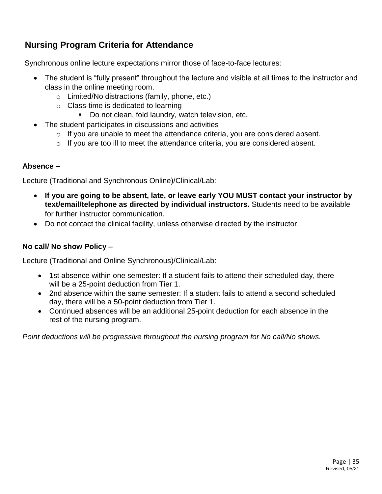### <span id="page-34-0"></span>**Nursing Program Criteria for Attendance**

Synchronous online lecture expectations mirror those of face-to-face lectures:

- The student is "fully present" throughout the lecture and visible at all times to the instructor and class in the online meeting room.
	- o Limited/No distractions (family, phone, etc.)
	- o Class-time is dedicated to learning
		- Do not clean, fold laundry, watch television, etc.
- The student participates in discussions and activities
	- o If you are unable to meet the attendance criteria, you are considered absent.
	- $\circ$  If you are too ill to meet the attendance criteria, you are considered absent.

#### **Absence –**

Lecture (Traditional and Synchronous Online)/Clinical/Lab:

- **If you are going to be absent, late, or leave early YOU MUST contact your instructor by text/email/telephone as directed by individual instructors.** Students need to be available for further instructor communication.
- Do not contact the clinical facility, unless otherwise directed by the instructor.

#### **No call/ No show Policy –**

Lecture (Traditional and Online Synchronous)/Clinical/Lab:

- 1st absence within one semester: If a student fails to attend their scheduled day, there will be a 25-point deduction from Tier 1.
- 2nd absence within the same semester: If a student fails to attend a second scheduled day, there will be a 50-point deduction from Tier 1.
- Continued absences will be an additional 25-point deduction for each absence in the rest of the nursing program.

*Point deductions will be progressive throughout the nursing program for No call/No shows.*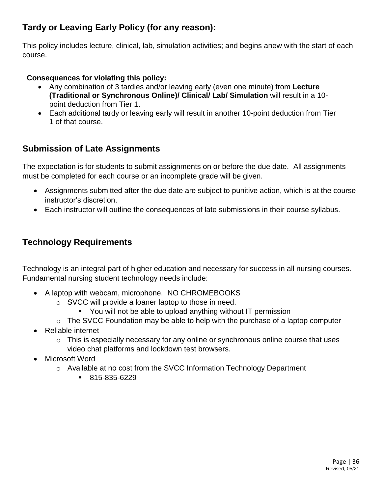### <span id="page-35-0"></span>**Tardy or Leaving Early Policy (for any reason):**

This policy includes lecture, clinical, lab, simulation activities; and begins anew with the start of each course.

#### **Consequences for violating this policy:**

- Any combination of 3 tardies and/or leaving early (even one minute) from **Lecture (Traditional or Synchronous Online)/ Clinical/ Lab/ Simulation** will result in a 10 point deduction from Tier 1.
- Each additional tardy or leaving early will result in another 10-point deduction from Tier 1 of that course.

### <span id="page-35-1"></span>**Submission of Late Assignments**

The expectation is for students to submit assignments on or before the due date. All assignments must be completed for each course or an incomplete grade will be given.

- Assignments submitted after the due date are subject to punitive action, which is at the course instructor's discretion.
- Each instructor will outline the consequences of late submissions in their course syllabus.

### <span id="page-35-2"></span>**Technology Requirements**

Technology is an integral part of higher education and necessary for success in all nursing courses. Fundamental nursing student technology needs include:

- A laptop with webcam, microphone. NO CHROMEBOOKS
	- o SVCC will provide a loaner laptop to those in need.
		- You will not be able to upload anything without IT permission
	- $\circ$  The SVCC Foundation may be able to help with the purchase of a laptop computer
- Reliable internet
	- o This is especially necessary for any online or synchronous online course that uses video chat platforms and lockdown test browsers.
- Microsoft Word
	- o Available at no cost from the SVCC Information Technology Department
		- 815-835-6229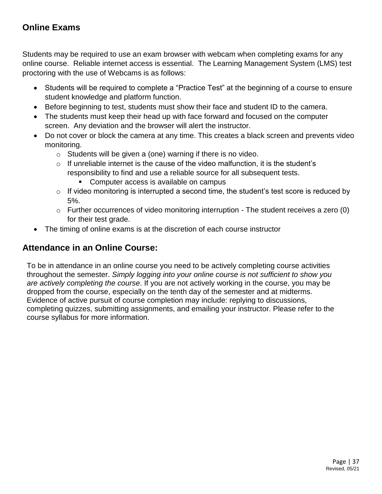### <span id="page-36-0"></span>**Online Exams**

Students may be required to use an exam browser with webcam when completing exams for any online course. Reliable internet access is essential. The Learning Management System (LMS) test proctoring with the use of Webcams is as follows:

- Students will be required to complete a "Practice Test" at the beginning of a course to ensure student knowledge and platform function.
- Before beginning to test, students must show their face and student ID to the camera.
- The students must keep their head up with face forward and focused on the computer screen. Any deviation and the browser will alert the instructor.
- Do not cover or block the camera at any time. This creates a black screen and prevents video monitoring.
	- $\circ$  Students will be given a (one) warning if there is no video.
	- $\circ$  If unreliable internet is the cause of the video malfunction, it is the student's responsibility to find and use a reliable source for all subsequent tests.
		- Computer access is available on campus
	- $\circ$  If video monitoring is interrupted a second time, the student's test score is reduced by 5%.
	- $\circ$  Further occurrences of video monitoring interruption The student receives a zero (0) for their test grade.
- The timing of online exams is at the discretion of each course instructor

### <span id="page-36-1"></span>**Attendance in an Online Course:**

To be in attendance in an online course you need to be actively completing course activities throughout the semester. *Simply logging into your online course is not sufficient to show you are actively completing the course*. If you are not actively working in the course, you may be dropped from the course, especially on the tenth day of the semester and at midterms. Evidence of active pursuit of course completion may include: replying to discussions, completing quizzes, submitting assignments, and emailing your instructor. Please refer to the course syllabus for more information.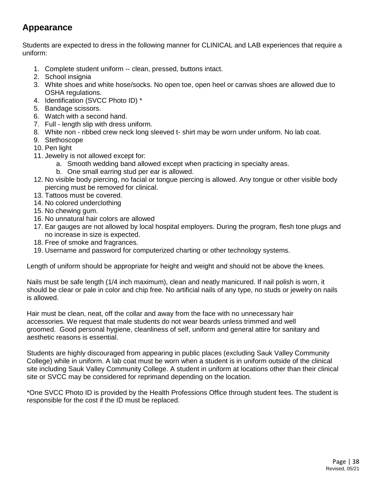### <span id="page-37-0"></span>**Appearance**

Students are expected to dress in the following manner for CLINICAL and LAB experiences that require a uniform:

- 1. Complete student uniform -- clean, pressed, buttons intact.
- 2. School insignia
- 3. White shoes and white hose/socks. No open toe, open heel or canvas shoes are allowed due to OSHA regulations.
- 4. Identification (SVCC Photo ID) \*
- 5. Bandage scissors.
- 6. Watch with a second hand.
- 7. Full length slip with dress uniform.
- 8. White non ribbed crew neck long sleeved t- shirt may be worn under uniform. No lab coat.
- 9. Stethoscope
- 10. Pen light
- 11. Jewelry is not allowed except for:
	- a. Smooth wedding band allowed except when practicing in specialty areas.
	- b. One small earring stud per ear is allowed.
- 12. No visible body piercing, no facial or tongue piercing is allowed. Any tongue or other visible body piercing must be removed for clinical.
- 13. Tattoos must be covered.
- 14. No colored underclothing
- 15. No chewing gum.
- 16. No unnatural hair colors are allowed
- 17. Ear gauges are not allowed by local hospital employers. During the program, flesh tone plugs and no increase in size is expected.
- 18. Free of smoke and fragrances.
- 19. Username and password for computerized charting or other technology systems.

Length of uniform should be appropriate for height and weight and should not be above the knees.

Nails must be safe length (1/4 inch maximum), clean and neatly manicured. If nail polish is worn, it should be clear or pale in color and chip free. No artificial nails of any type, no studs or jewelry on nails is allowed.

Hair must be clean, neat, off the collar and away from the face with no unnecessary hair accessories. We request that male students do not wear beards unless trimmed and well groomed. Good personal hygiene, cleanliness of self, uniform and general attire for sanitary and aesthetic reasons is essential.

Students are highly discouraged from appearing in public places (excluding Sauk Valley Community College) while in uniform. A lab coat must be worn when a student is in uniform outside of the clinical site including Sauk Valley Community College. A student in uniform at locations other than their clinical site or SVCC may be considered for reprimand depending on the location.

\*One SVCC Photo ID is provided by the Health Professions Office through student fees. The student is responsible for the cost if the ID must be replaced.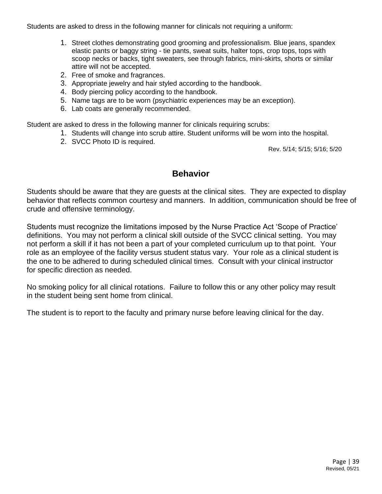Students are asked to dress in the following manner for clinicals not requiring a uniform:

- 1. Street clothes demonstrating good grooming and professionalism. Blue jeans, spandex elastic pants or baggy string - tie pants, sweat suits, halter tops, crop tops, tops with scoop necks or backs, tight sweaters, see through fabrics, mini-skirts, shorts or similar attire will not be accepted.
- 2. Free of smoke and fragrances.
- 3. Appropriate jewelry and hair styled according to the handbook.
- 4. Body piercing policy according to the handbook.
- 5. Name tags are to be worn (psychiatric experiences may be an exception).
- 6. Lab coats are generally recommended.

Student are asked to dress in the following manner for clinicals requiring scrubs:

- 1. Students will change into scrub attire. Student uniforms will be worn into the hospital.
- 2. SVCC Photo ID is required.

Rev. 5/14; 5/15; 5/16; 5/20

#### **Behavior**

<span id="page-38-0"></span>Students should be aware that they are guests at the clinical sites. They are expected to display behavior that reflects common courtesy and manners. In addition, communication should be free of crude and offensive terminology.

Students must recognize the limitations imposed by the Nurse Practice Act 'Scope of Practice' definitions. You may not perform a clinical skill outside of the SVCC clinical setting. You may not perform a skill if it has not been a part of your completed curriculum up to that point. Your role as an employee of the facility versus student status vary. Your role as a clinical student is the one to be adhered to during scheduled clinical times. Consult with your clinical instructor for specific direction as needed.

No smoking policy for all clinical rotations. Failure to follow this or any other policy may result in the student being sent home from clinical.

The student is to report to the faculty and primary nurse before leaving clinical for the day.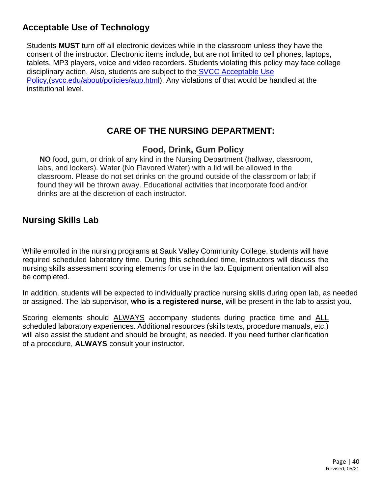### <span id="page-39-0"></span>**Acceptable Use of Technology**

Students **MUST** turn off all electronic devices while in the classroom unless they have the consent of the instructor. Electronic items include, but are not limited to cell phones, laptops, tablets, MP3 players, voice and video recorders. Students violating this policy may face college disciplinary action. Also, students are subject to the SVCC Acceptable Use [Policy](https://www.svcc.edu/about/policies/aup.html)[,\(svcc.edu/about/policies/aup.html\).](http://svcc.edu/about/policies/aup.html) Any violations of that would be handled at the institutional level.

### **CARE OF THE NURSING DEPARTMENT:**

### **Food, Drink, Gum Policy**

<span id="page-39-1"></span>**NO** food, gum, or drink of any kind in the Nursing Department (hallway, classroom, labs, and lockers). Water (No Flavored Water) with a lid will be allowed in the classroom. Please do not set drinks on the ground outside of the classroom or lab; if found they will be thrown away. Educational activities that incorporate food and/or drinks are at the discretion of each instructor.

### <span id="page-39-2"></span>**Nursing Skills Lab**

While enrolled in the nursing programs at Sauk Valley Community College, students will have required scheduled laboratory time. During this scheduled time, instructors will discuss the nursing skills assessment scoring elements for use in the lab. Equipment orientation will also be completed.

In addition, students will be expected to individually practice nursing skills during open lab, as needed or assigned. The lab supervisor, **who is a registered nurse**, will be present in the lab to assist you.

Scoring elements should ALWAYS accompany students during practice time and ALL scheduled laboratory experiences. Additional resources (skills texts, procedure manuals, etc.) will also assist the student and should be brought, as needed. If you need further clarification of a procedure, **ALWAYS** consult your instructor.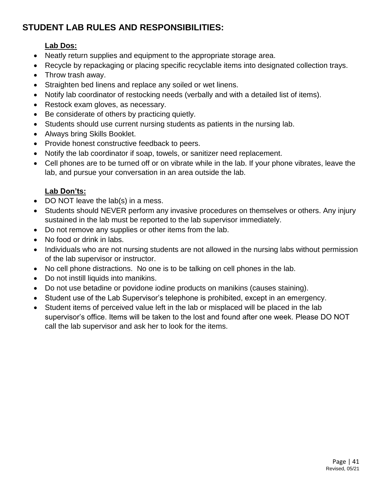### <span id="page-40-0"></span>**STUDENT LAB RULES AND RESPONSIBILITIES:**

#### **Lab Dos:**

- Neatly return supplies and equipment to the appropriate storage area.
- Recycle by repackaging or placing specific recyclable items into designated collection trays.
- Throw trash away.
- Straighten bed linens and replace any soiled or wet linens.
- Notify lab coordinator of restocking needs (verbally and with a detailed list of items).
- Restock exam gloves, as necessary.
- Be considerate of others by practicing quietly.
- Students should use current nursing students as patients in the nursing lab.
- Always bring Skills Booklet.
- Provide honest constructive feedback to peers.
- Notify the lab coordinator if soap, towels, or sanitizer need replacement.
- Cell phones are to be turned off or on vibrate while in the lab. If your phone vibrates, leave the lab, and pursue your conversation in an area outside the lab.

#### **Lab Don'ts:**

- DO NOT leave the lab(s) in a mess.
- Students should NEVER perform any invasive procedures on themselves or others. Any injury sustained in the lab must be reported to the lab supervisor immediately.
- Do not remove any supplies or other items from the lab.
- No food or drink in labs.
- Individuals who are not nursing students are not allowed in the nursing labs without permission of the lab supervisor or instructor.
- No cell phone distractions. No one is to be talking on cell phones in the lab.
- Do not instill liquids into manikins.
- Do not use betadine or povidone iodine products on manikins (causes staining).
- Student use of the Lab Supervisor's telephone is prohibited, except in an emergency.
- Student items of perceived value left in the lab or misplaced will be placed in the lab supervisor's office. Items will be taken to the lost and found after one week. Please DO NOT call the lab supervisor and ask her to look for the items.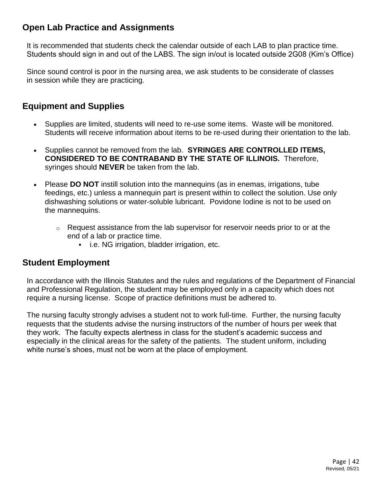### <span id="page-41-0"></span>**Open Lab Practice and Assignments**

It is recommended that students check the calendar outside of each LAB to plan practice time. Students should sign in and out of the LABS. The sign in/out is located outside 2G08 (Kim's Office)

Since sound control is poor in the nursing area, we ask students to be considerate of classes in session while they are practicing.

### <span id="page-41-1"></span>**Equipment and Supplies**

- Supplies are limited, students will need to re-use some items. Waste will be monitored. Students will receive information about items to be re-used during their orientation to the lab.
- Supplies cannot be removed from the lab. **SYRINGES ARE CONTROLLED ITEMS, CONSIDERED TO BE CONTRABAND BY THE STATE OF ILLINOIS.** Therefore, syringes should **NEVER** be taken from the lab.
- Please **DO NOT** instill solution into the mannequins (as in enemas, irrigations, tube feedings, etc.) unless a mannequin part is present within to collect the solution. Use only dishwashing solutions or water-soluble lubricant. Povidone Iodine is not to be used on the mannequins.
	- $\circ$  Request assistance from the lab supervisor for reservoir needs prior to or at the end of a lab or practice time.
		- **i.e. NG irrigation, bladder irrigation, etc.**

### <span id="page-41-2"></span>**Student Employment**

In accordance with the Illinois Statutes and the rules and regulations of the Department of Financial and Professional Regulation, the student may be employed only in a capacity which does not require a nursing license. Scope of practice definitions must be adhered to.

The nursing faculty strongly advises a student not to work full-time. Further, the nursing faculty requests that the students advise the nursing instructors of the number of hours per week that they work. The faculty expects alertness in class for the student's academic success and especially in the clinical areas for the safety of the patients. The student uniform, including white nurse's shoes, must not be worn at the place of employment.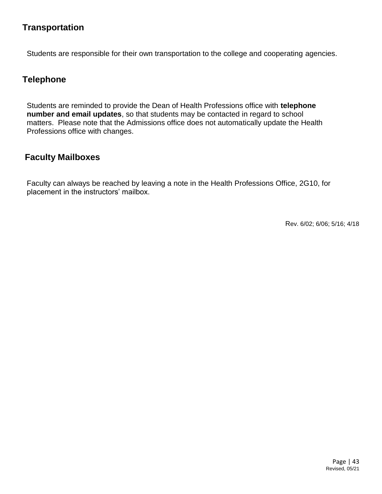### <span id="page-42-0"></span>**Transportation**

Students are responsible for their own transportation to the college and cooperating agencies.

#### <span id="page-42-1"></span>**Telephone**

Students are reminded to provide the Dean of Health Professions office with **telephone number and email updates**, so that students may be contacted in regard to school matters. Please note that the Admissions office does not automatically update the Health Professions office with changes.

### <span id="page-42-2"></span>**Faculty Mailboxes**

Faculty can always be reached by leaving a note in the Health Professions Office, 2G10, for placement in the instructors' mailbox.

Rev. 6/02; 6/06; 5/16; 4/18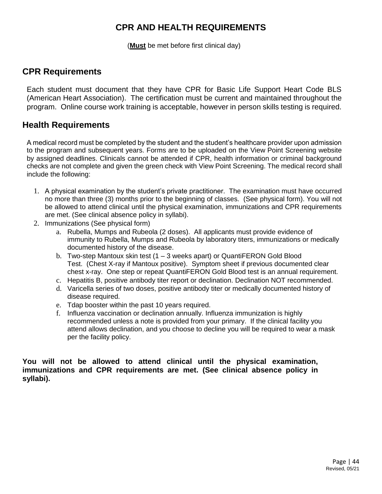### **CPR AND HEALTH REQUIREMENTS**

(**Must** be met before first clinical day)

#### <span id="page-43-1"></span><span id="page-43-0"></span>**CPR Requirements**

Each student must document that they have CPR for Basic Life Support Heart Code BLS (American Heart Association). The certification must be current and maintained throughout the program. Online course work training is acceptable, however in person skills testing is required.

#### <span id="page-43-2"></span>**Health Requirements**

A medical record must be completed by the student and the student's healthcare provider upon admission to the program and subsequent years. Forms are to be uploaded on the View Point Screening website by assigned deadlines. Clinicals cannot be attended if CPR, health information or criminal background checks are not complete and given the green check with View Point Screening. The medical record shall include the following:

- 1. A physical examination by the student's private practitioner. The examination must have occurred no more than three (3) months prior to the beginning of classes. (See physical form). You will not be allowed to attend clinical until the physical examination, immunizations and CPR requirements are met. (See clinical absence policy in syllabi).
- 2. Immunizations (See physical form)
	- a. Rubella, Mumps and Rubeola (2 doses). All applicants must provide evidence of immunity to Rubella, Mumps and Rubeola by laboratory titers, immunizations or medically documented history of the disease.
	- b. Two-step Mantoux skin test (1 3 weeks apart) or QuantiFERON Gold Blood Test. (Chest X-ray if Mantoux positive). Symptom sheet if previous documented clear chest x-ray. One step or repeat QuantiFERON Gold Blood test is an annual requirement.
	- c. Hepatitis B, positive antibody titer report or declination. Declination NOT recommended.
	- d. Varicella series of two doses, positive antibody titer or medically documented history of disease required.
	- e. Tdap booster within the past 10 years required.
	- f. Influenza vaccination or declination annually. Influenza immunization is highly recommended unless a note is provided from your primary. If the clinical facility you attend allows declination, and you choose to decline you will be required to wear a mask per the facility policy.

#### **You will not be allowed to attend clinical until the physical examination, immunizations and CPR requirements are met. (See clinical absence policy in syllabi).**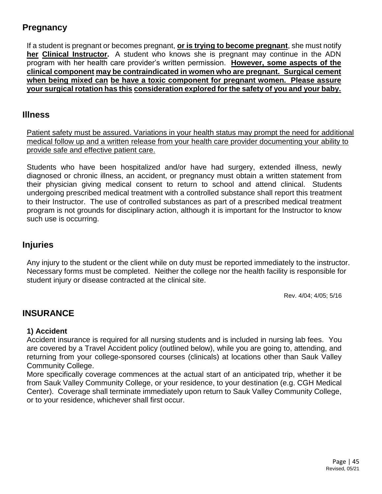### <span id="page-44-0"></span>**Pregnancy**

If a student is pregnant or becomes pregnant, **or is trying to become pregnant**, she must notify **her Clinical Instructor.** A student who knows she is pregnant may continue in the ADN program with her health care provider's written permission. **However, some aspects of the clinical component may be contraindicated in women who are pregnant. Surgical cement when being mixed can be have a toxic component for pregnant women. Please assure your surgical rotation has this consideration explored for the safety of you and your baby.**

#### <span id="page-44-1"></span>**Illness**

Patient safety must be assured. Variations in your health status may prompt the need for additional medical follow up and a written release from your health care provider documenting your ability to provide safe and effective patient care.

Students who have been hospitalized and/or have had surgery, extended illness, newly diagnosed or chronic illness, an accident, or pregnancy must obtain a written statement from their physician giving medical consent to return to school and attend clinical. Students undergoing prescribed medical treatment with a controlled substance shall report this treatment to their Instructor. The use of controlled substances as part of a prescribed medical treatment program is not grounds for disciplinary action, although it is important for the Instructor to know such use is occurring.

#### <span id="page-44-2"></span>**Injuries**

Any injury to the student or the client while on duty must be reported immediately to the instructor. Necessary forms must be completed. Neither the college nor the health facility is responsible for student injury or disease contracted at the clinical site.

Rev. 4/04; 4/05; 5/16

### <span id="page-44-3"></span>**INSURANCE**

#### **1) Accident**

Accident insurance is required for all nursing students and is included in nursing lab fees. You are covered by a Travel Accident policy (outlined below), while you are going to, attending, and returning from your college-sponsored courses (clinicals) at locations other than Sauk Valley Community College.

More specifically coverage commences at the actual start of an anticipated trip, whether it be from Sauk Valley Community College, or your residence, to your destination (e.g. CGH Medical Center). Coverage shall terminate immediately upon return to Sauk Valley Community College, or to your residence, whichever shall first occur.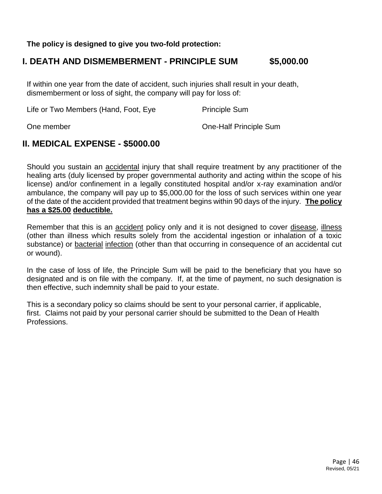#### **The policy is designed to give you two-fold protection:**

#### **I. DEATH AND DISMEMBERMENT - PRINCIPLE SUM \$5,000.00**

If within one year from the date of accident, such injuries shall result in your death, dismemberment or loss of sight, the company will pay for loss of:

Life or Two Members (Hand, Foot, Eye Principle Sum

One member **One-Half Principle Sum** 

### **II. MEDICAL EXPENSE - \$5000.00**

Should you sustain an accidental injury that shall require treatment by any practitioner of the healing arts (duly licensed by proper governmental authority and acting within the scope of his license) and/or confinement in a legally constituted hospital and/or x-ray examination and/or ambulance, the company will pay up to \$5,000.00 for the loss of such services within one year of the date of the accident provided that treatment begins within 90 days of the injury. **The policy has a \$25.00 deductible.**

Remember that this is an **accident** policy only and it is not designed to cover disease, illness (other than illness which results solely from the accidental ingestion or inhalation of a toxic substance) or bacterial infection (other than that occurring in consequence of an accidental cut or wound).

In the case of loss of life, the Principle Sum will be paid to the beneficiary that you have so designated and is on file with the company. If, at the time of payment, no such designation is then effective, such indemnity shall be paid to your estate.

This is a secondary policy so claims should be sent to your personal carrier, if applicable, first. Claims not paid by your personal carrier should be submitted to the Dean of Health Professions.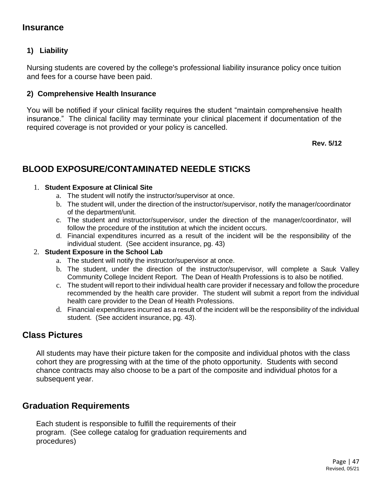#### **Insurance**

#### **1) Liability**

Nursing students are covered by the college's professional liability insurance policy once tuition and fees for a course have been paid.

#### **2) Comprehensive Health Insurance**

You will be notified if your clinical facility requires the student "maintain comprehensive health insurance." The clinical facility may terminate your clinical placement if documentation of the required coverage is not provided or your policy is cancelled.

**Rev. 5/12**

### <span id="page-46-0"></span>**BLOOD EXPOSURE/CONTAMINATED NEEDLE STICKS**

#### 1. **Student Exposure at Clinical Site**

- a. The student will notify the instructor/supervisor at once.
- b. The student will, under the direction of the instructor/supervisor, notify the manager/coordinator of the department/unit.
- c. The student and instructor/supervisor, under the direction of the manager/coordinator, will follow the procedure of the institution at which the incident occurs.
- d. Financial expenditures incurred as a result of the incident will be the responsibility of the individual student. (See accident insurance, pg. 43)

#### 2. **Student Exposure in the School Lab**

- a. The student will notify the instructor/supervisor at once.
- b. The student, under the direction of the instructor/supervisor, will complete a Sauk Valley Community College Incident Report. The Dean of Health Professions is to also be notified.
- c. The student will report to their individual health care provider if necessary and follow the procedure recommended by the health care provider. The student will submit a report from the individual health care provider to the Dean of Health Professions.
- d. Financial expenditures incurred as a result of the incident will be the responsibility of the individual student. (See accident insurance, pg. 43).

#### <span id="page-46-1"></span>**Class Pictures**

All students may have their picture taken for the composite and individual photos with the class cohort they are progressing with at the time of the photo opportunity. Students with second chance contracts may also choose to be a part of the composite and individual photos for a subsequent year.

#### <span id="page-46-2"></span>**Graduation Requirements**

Each student is responsible to fulfill the requirements of their program. (See college catalog for graduation requirements and procedures)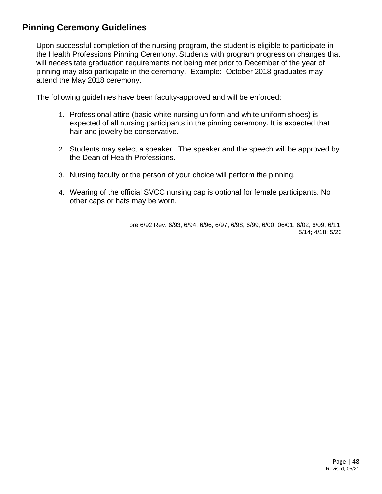### <span id="page-47-0"></span>**Pinning Ceremony Guidelines**

Upon successful completion of the nursing program, the student is eligible to participate in the Health Professions Pinning Ceremony. Students with program progression changes that will necessitate graduation requirements not being met prior to December of the year of pinning may also participate in the ceremony. Example: October 2018 graduates may attend the May 2018 ceremony.

The following guidelines have been faculty-approved and will be enforced:

- 1. Professional attire (basic white nursing uniform and white uniform shoes) is expected of all nursing participants in the pinning ceremony. It is expected that hair and jewelry be conservative.
- 2. Students may select a speaker. The speaker and the speech will be approved by the Dean of Health Professions.
- 3. Nursing faculty or the person of your choice will perform the pinning.
- 4. Wearing of the official SVCC nursing cap is optional for female participants. No other caps or hats may be worn.

pre 6/92 Rev. 6/93; 6/94; 6/96; 6/97; 6/98; 6/99; 6/00; 06/01; 6/02; 6/09; 6/11; 5/14; 4/18; 5/20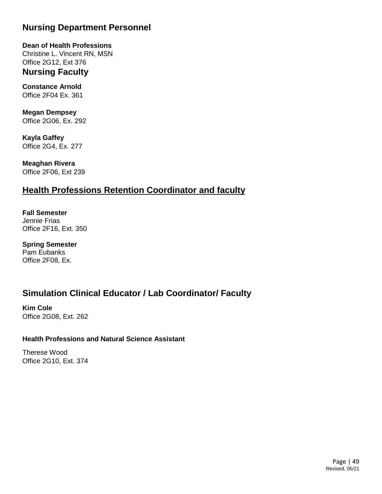### <span id="page-48-0"></span>**Nursing Department Personnel**

**Dean of Health Professions** Christine L. Vincent RN, MSN Office 2G12, Ext 376

### **Nursing Faculty**

**Constance Arnold** Office 2F04 Ex. 361

**Megan Dempsey** Office 2G06, Ex. 292

**Kayla Gaffey** Office 2G4, Ex. 277

**Meaghan Rivera** Office 2F06, Ext 239

### **Health Professions Retention Coordinator and faculty**

**Fall Semester**  Jennie Frias Office 2F16, Ext. 350

**Spring Semester**  Pam Eubanks Office 2F08, Ex.

### **Simulation Clinical Educator / Lab Coordinator/ Faculty**

**Kim Cole**  Office 2G08, Ext. 262

#### **Health Professions and Natural Science Assistant**

Therese Wood Office 2G10, Ext. 374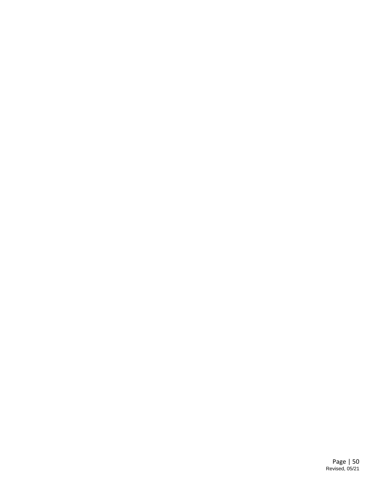Page | 50 Revised, 05/21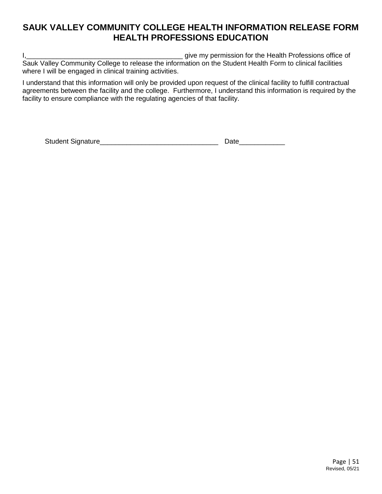### <span id="page-50-0"></span>**SAUK VALLEY COMMUNITY COLLEGE HEALTH INFORMATION RELEASE FORM HEALTH PROFESSIONS EDUCATION**

I,\_\_\_\_\_\_\_\_\_\_\_\_\_\_\_\_\_\_\_\_\_\_\_\_\_\_\_\_\_\_\_\_\_\_\_\_\_\_\_\_\_ give my permission for the Health Professions office of Sauk Valley Community College to release the information on the Student Health Form to clinical facilities where I will be engaged in clinical training activities.

I understand that this information will only be provided upon request of the clinical facility to fulfill contractual agreements between the facility and the college. Furthermore, I understand this information is required by the facility to ensure compliance with the regulating agencies of that facility.

Student Signature\_\_\_\_\_\_\_\_\_\_\_\_\_\_\_\_\_\_\_\_\_\_\_\_\_\_\_\_\_\_\_ Date\_\_\_\_\_\_\_\_\_\_\_\_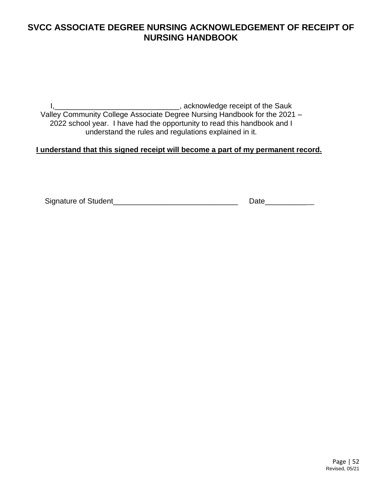### <span id="page-51-0"></span>**SVCC ASSOCIATE DEGREE NURSING ACKNOWLEDGEMENT OF RECEIPT OF NURSING HANDBOOK**

I, \_\_\_\_\_\_\_\_\_\_\_\_\_\_\_\_\_\_\_\_\_\_\_\_\_\_\_\_\_\_\_\_\_\_\_, acknowledge receipt of the Sauk Valley Community College Associate Degree Nursing Handbook for the 2021 – 2022 school year. I have had the opportunity to read this handbook and I understand the rules and regulations explained in it.

#### **I understand that this signed receipt will become a part of my permanent record.**

Signature of Student\_\_\_\_\_\_\_\_\_\_\_\_\_\_\_\_\_\_\_\_\_\_\_\_\_\_\_\_\_\_ Date\_\_\_\_\_\_\_\_\_\_\_\_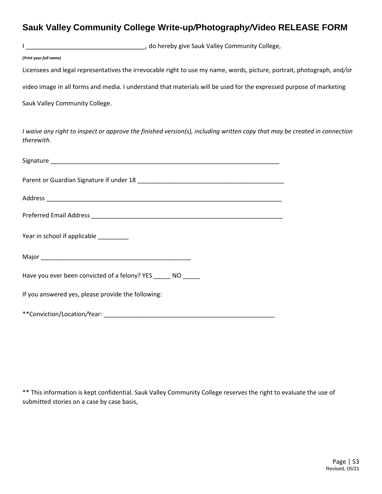### <span id="page-52-0"></span>**Sauk Valley Community College Write-up***/***Photograph***y/***Video RELEASE FORM**

| do hereby give Sauk Valley Community College,                                                                                           |  |
|-----------------------------------------------------------------------------------------------------------------------------------------|--|
| (Print your full name)                                                                                                                  |  |
| Licensees and legal representatives the irrevocable right to use my name, words, picture, portrait, photograph, and/or                  |  |
| video image in all forms and media. I understand that materials will be used for the expressed purpose of marketing                     |  |
| Sauk Valley Community College.                                                                                                          |  |
|                                                                                                                                         |  |
| I waive any right to inspect or approve the finished version(s), including written copy that may be created in connection<br>therewith. |  |
|                                                                                                                                         |  |
|                                                                                                                                         |  |
|                                                                                                                                         |  |
|                                                                                                                                         |  |
| Year in school if applicable _________                                                                                                  |  |
|                                                                                                                                         |  |
| Have you ever been convicted of a felony? YES ______ NO _____                                                                           |  |
| If you answered yes, please provide the following:                                                                                      |  |
|                                                                                                                                         |  |

\*\* This information is kept confidential. Sauk Valley Community College reserves the right to evaluate the use of submitted stories on a case by case basis,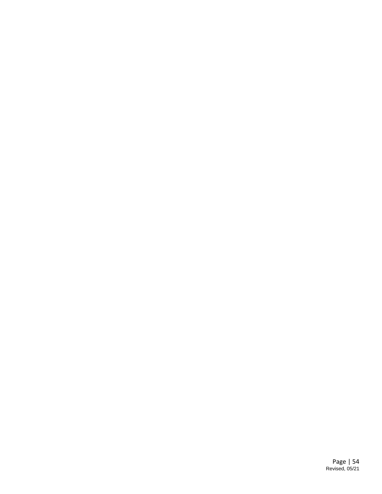Page | 54 Revised, 05/21